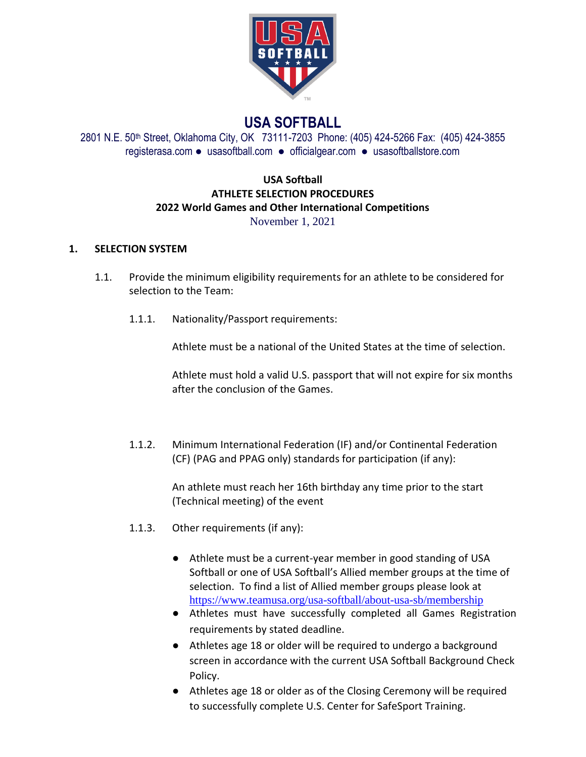

## **USA SOFTBALL**

2801 N.E. 50<sup>th</sup> Street, Oklahoma City, OK 73111-7203 Phone: (405) 424-5266 Fax: (405) 424-3855 registerasa.com ● usasoftball.com ● officialgear.com ● usasoftballstore.com

## **USA Softball ATHLETE SELECTION PROCEDURES 2022 World Games and Other International Competitions** November 1, 2021

## **1. SELECTION SYSTEM**

- 1.1. Provide the minimum eligibility requirements for an athlete to be considered for selection to the Team:
	- 1.1.1. Nationality/Passport requirements:

Athlete must be a national of the United States at the time of selection.

Athlete must hold a valid U.S. passport that will not expire for six months after the conclusion of the Games.

1.1.2. Minimum International Federation (IF) and/or Continental Federation (CF) (PAG and PPAG only) standards for participation (if any):

> An athlete must reach her 16th birthday any time prior to the start (Technical meeting) of the event

- 1.1.3. Other requirements (if any):
	- Athlete must be a current-year member in good standing of USA Softball or one of USA Softball's Allied member groups at the time of selection. To find a list of Allied member groups please look at <https://www.teamusa.org/usa-softball/about-usa-sb/membership>
	- Athletes must have successfully completed all Games Registration requirements by stated deadline.
	- Athletes age 18 or older will be required to undergo a background screen in accordance with the current USA Softball Background Check Policy.
	- Athletes age 18 or older as of the Closing Ceremony will be required to successfully complete U.S. Center for SafeSport Training.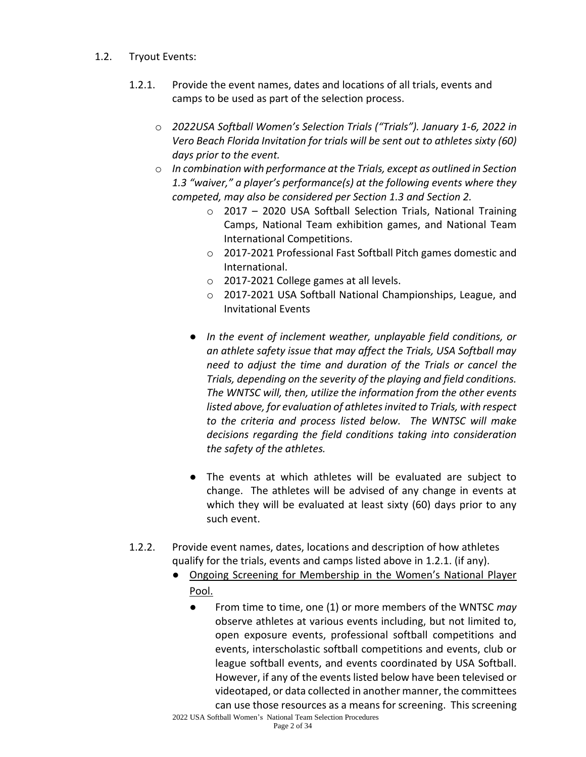- 1.2. Tryout Events:
	- 1.2.1. Provide the event names, dates and locations of all trials, events and camps to be used as part of the selection process.
		- o *2022USA Softball Women's Selection Trials ("Trials"). January 1-6, 2022 in Vero Beach Florida Invitation for trials will be sent out to athletes sixty (60) days prior to the event.*
		- o *In combination with performance at the Trials, except as outlined in Section 1.3 "waiver," a player's performance(s) at the following events where they competed, may also be considered per Section 1.3 and Section 2.* 
			- o 2017 2020 USA Softball Selection Trials, National Training Camps, National Team exhibition games, and National Team International Competitions.
			- o 2017-2021 Professional Fast Softball Pitch games domestic and International.
			- o 2017-2021 College games at all levels.
			- o 2017-2021 USA Softball National Championships, League, and Invitational Events
			- *In the event of inclement weather, unplayable field conditions, or an athlete safety issue that may affect the Trials, USA Softball may need to adjust the time and duration of the Trials or cancel the Trials, depending on the severity of the playing and field conditions. The WNTSC will, then, utilize the information from the other events listed above, for evaluation of athletes invited to Trials, with respect to the criteria and process listed below. The WNTSC will make decisions regarding the field conditions taking into consideration the safety of the athletes.*
			- The events at which athletes will be evaluated are subject to change. The athletes will be advised of any change in events at which they will be evaluated at least sixty (60) days prior to any such event.
	- 1.2.2. Provide event names, dates, locations and description of how athletes qualify for the trials, events and camps listed above in 1.2.1. (if any).
		- Ongoing Screening for Membership in the Women's National Player Pool.
			- From time to time, one (1) or more members of the WNTSC *may* observe athletes at various events including, but not limited to, open exposure events, professional softball competitions and events, interscholastic softball competitions and events, club or league softball events, and events coordinated by USA Softball. However, if any of the events listed below have been televised or videotaped, or data collected in another manner, the committees can use those resources as a means for screening. This screening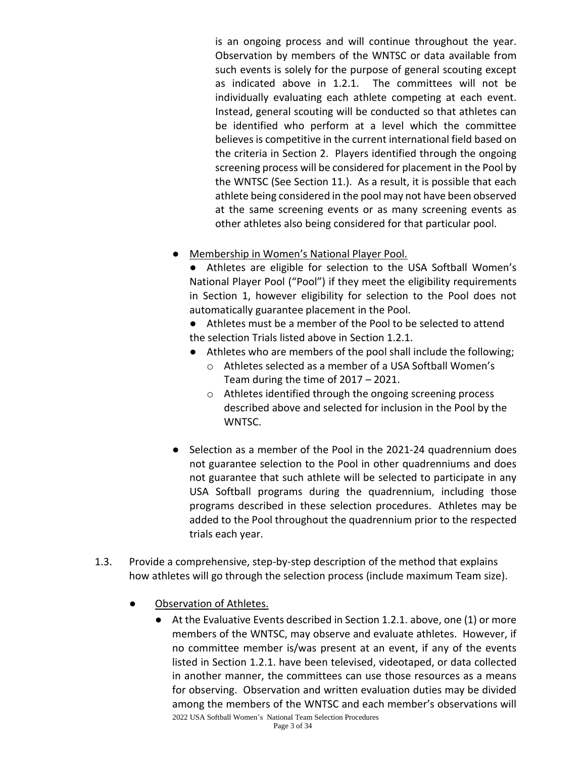is an ongoing process and will continue throughout the year. Observation by members of the WNTSC or data available from such events is solely for the purpose of general scouting except as indicated above in 1.2.1. The committees will not be individually evaluating each athlete competing at each event. Instead, general scouting will be conducted so that athletes can be identified who perform at a level which the committee believes is competitive in the current international field based on the criteria in Section 2. Players identified through the ongoing screening process will be considered for placement in the Pool by the WNTSC (See Section 11.). As a result, it is possible that each athlete being considered in the pool may not have been observed at the same screening events or as many screening events as other athletes also being considered for that particular pool.

- Membership in Women's National Player Pool.
	- Athletes are eligible for selection to the USA Softball Women's National Player Pool ("Pool") if they meet the eligibility requirements in Section 1, however eligibility for selection to the Pool does not automatically guarantee placement in the Pool.
	- Athletes must be a member of the Pool to be selected to attend the selection Trials listed above in Section 1.2.1.
	- Athletes who are members of the pool shall include the following;
		- o Athletes selected as a member of a USA Softball Women's Team during the time of 2017 – 2021.
		- o Athletes identified through the ongoing screening process described above and selected for inclusion in the Pool by the WNTSC.
- Selection as a member of the Pool in the 2021-24 quadrennium does not guarantee selection to the Pool in other quadrenniums and does not guarantee that such athlete will be selected to participate in any USA Softball programs during the quadrennium, including those programs described in these selection procedures. Athletes may be added to the Pool throughout the quadrennium prior to the respected trials each year.
- 1.3. Provide a comprehensive, step-by-step description of the method that explains how athletes will go through the selection process (include maximum Team size).
	- Observation of Athletes.
		- At the Evaluative Events described in Section 1.2.1. above, one (1) or more members of the WNTSC, may observe and evaluate athletes. However, if no committee member is/was present at an event, if any of the events listed in Section 1.2.1. have been televised, videotaped, or data collected in another manner, the committees can use those resources as a means for observing. Observation and written evaluation duties may be divided among the members of the WNTSC and each member's observations will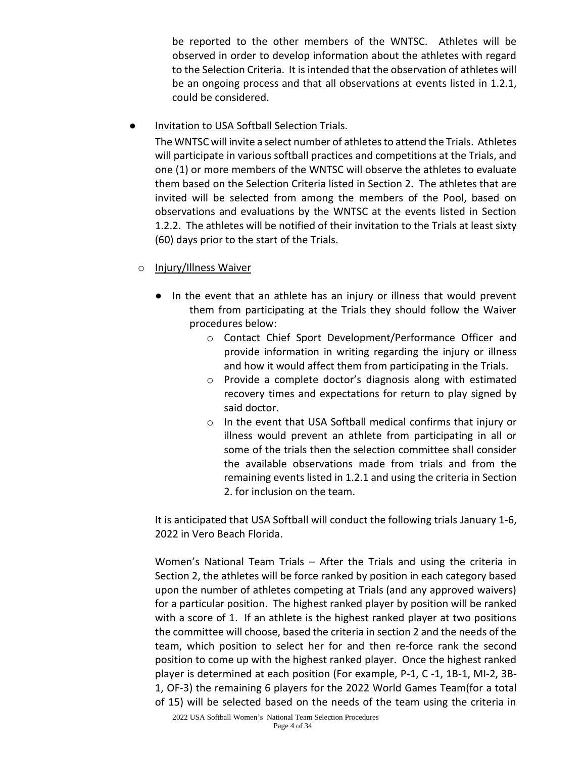be reported to the other members of the WNTSC. Athletes will be observed in order to develop information about the athletes with regard to the Selection Criteria. It is intended that the observation of athletes will be an ongoing process and that all observations at events listed in 1.2.1, could be considered.

Invitation to USA Softball Selection Trials.

The WNTSC will invite a select number of athletes to attend the Trials. Athletes will participate in various softball practices and competitions at the Trials, and one (1) or more members of the WNTSC will observe the athletes to evaluate them based on the Selection Criteria listed in Section 2. The athletes that are invited will be selected from among the members of the Pool, based on observations and evaluations by the WNTSC at the events listed in Section 1.2.2. The athletes will be notified of their invitation to the Trials at least sixty (60) days prior to the start of the Trials.

- o Injury/Illness Waiver
	- In the event that an athlete has an injury or illness that would prevent them from participating at the Trials they should follow the Waiver procedures below:
		- o Contact Chief Sport Development/Performance Officer and provide information in writing regarding the injury or illness and how it would affect them from participating in the Trials.
		- o Provide a complete doctor's diagnosis along with estimated recovery times and expectations for return to play signed by said doctor.
		- o In the event that USA Softball medical confirms that injury or illness would prevent an athlete from participating in all or some of the trials then the selection committee shall consider the available observations made from trials and from the remaining events listed in 1.2.1 and using the criteria in Section 2. for inclusion on the team.

It is anticipated that USA Softball will conduct the following trials January 1-6, 2022 in Vero Beach Florida.

Women's National Team Trials – After the Trials and using the criteria in Section 2, the athletes will be force ranked by position in each category based upon the number of athletes competing at Trials (and any approved waivers) for a particular position. The highest ranked player by position will be ranked with a score of 1. If an athlete is the highest ranked player at two positions the committee will choose, based the criteria in section 2 and the needs of the team, which position to select her for and then re-force rank the second position to come up with the highest ranked player. Once the highest ranked player is determined at each position (For example, P-1, C -1, 1B-1, MI-2, 3B-1, OF-3) the remaining 6 players for the 2022 World Games Team(for a total of 15) will be selected based on the needs of the team using the criteria in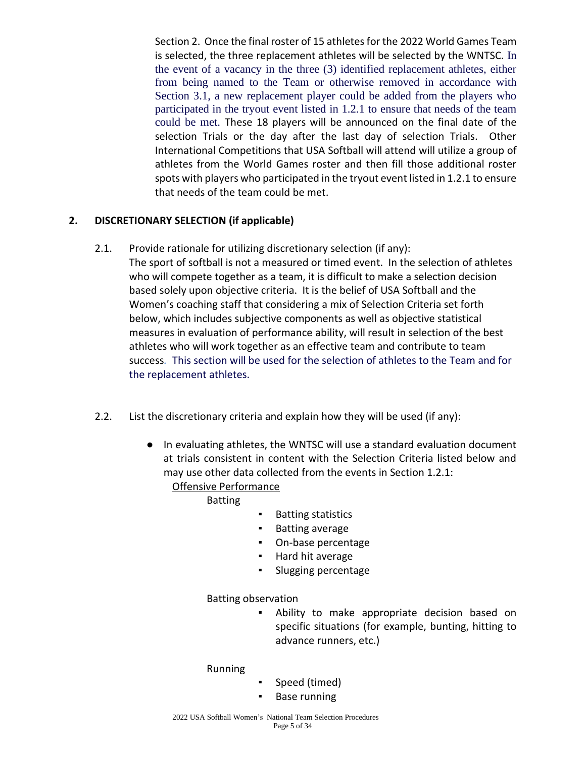Section 2. Once the final roster of 15 athletes for the 2022 World Games Team is selected, the three replacement athletes will be selected by the WNTSC. In the event of a vacancy in the three (3) identified replacement athletes, either from being named to the Team or otherwise removed in accordance with Section 3.1, a new replacement player could be added from the players who participated in the tryout event listed in 1.2.1 to ensure that needs of the team could be met. These 18 players will be announced on the final date of the selection Trials or the day after the last day of selection Trials. Other International Competitions that USA Softball will attend will utilize a group of athletes from the World Games roster and then fill those additional roster spots with players who participated in the tryout event listed in 1.2.1 to ensure that needs of the team could be met.

## **2. DISCRETIONARY SELECTION (if applicable)**

2.1. Provide rationale for utilizing discretionary selection (if any):

The sport of softball is not a measured or timed event. In the selection of athletes who will compete together as a team, it is difficult to make a selection decision based solely upon objective criteria. It is the belief of USA Softball and the Women's coaching staff that considering a mix of Selection Criteria set forth below, which includes subjective components as well as objective statistical measures in evaluation of performance ability, will result in selection of the best athletes who will work together as an effective team and contribute to team success*.* This section will be used for the selection of athletes to the Team and for the replacement athletes.

- 2.2. List the discretionary criteria and explain how they will be used (if any):
	- In evaluating athletes, the WNTSC will use a standard evaluation document at trials consistent in content with the Selection Criteria listed below and may use other data collected from the events in Section 1.2.1:

## Offensive Performance

Batting

- Batting statistics
- Batting average
- On-base percentage
- Hard hit average
- Slugging percentage

## Batting observation

▪ Ability to make appropriate decision based on specific situations (for example, bunting, hitting to advance runners, etc.)

## Running

- Speed (timed)
- **Base running**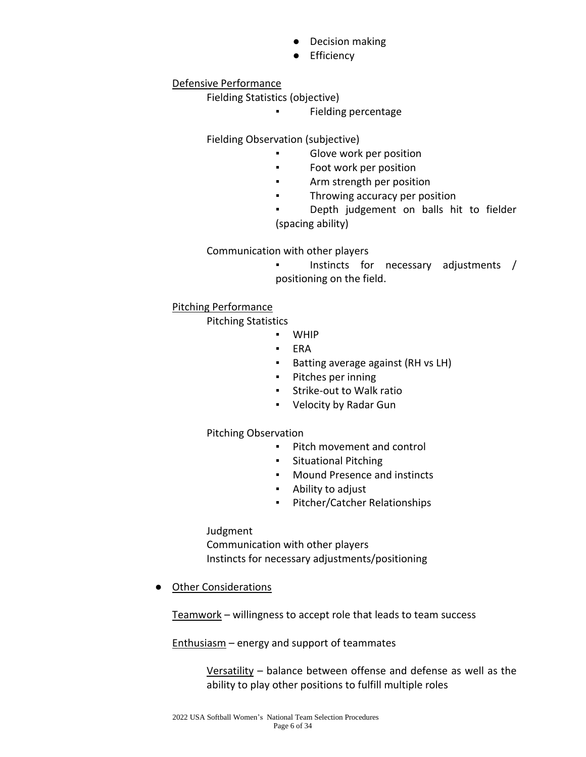- Decision making
- Efficiency

## Defensive Performance

Fielding Statistics (objective)

▪ Fielding percentage

Fielding Observation (subjective)

- Glove work per position
- Foot work per position
- Arm strength per position
- Throwing accuracy per position
- Depth judgement on balls hit to fielder (spacing ability)

Communication with other players

▪ Instincts for necessary adjustments / positioning on the field.

## Pitching Performance

Pitching Statistics

- WHIP
- ERA
- Batting average against (RH vs LH)
- Pitches per inning
- Strike-out to Walk ratio
- Velocity by Radar Gun

## Pitching Observation

- Pitch movement and control
- Situational Pitching
- Mound Presence and instincts
- Ability to adjust
- Pitcher/Catcher Relationships

Judgment Communication with other players Instincts for necessary adjustments/positioning

**Other Considerations** 

Teamwork – willingness to accept role that leads to team success

Enthusiasm – energy and support of teammates

Versatility – balance between offense and defense as well as the ability to play other positions to fulfill multiple roles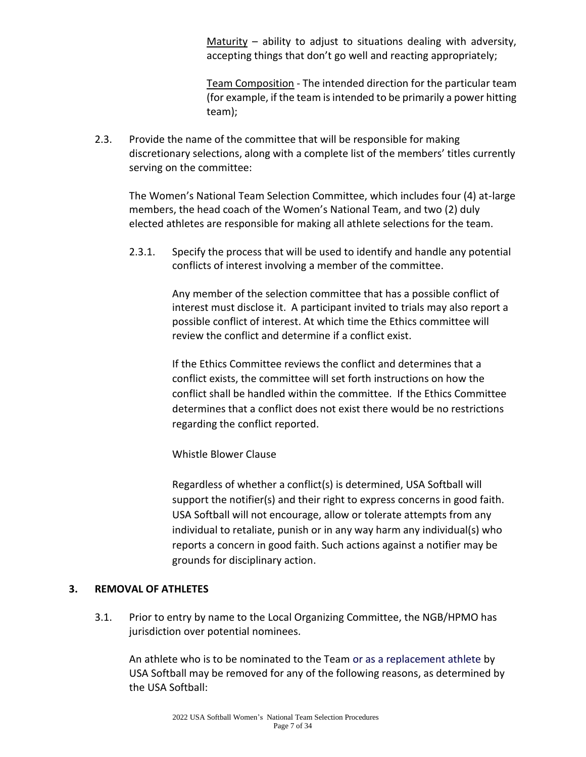Maturity – ability to adjust to situations dealing with adversity, accepting things that don't go well and reacting appropriately;

Team Composition - The intended direction for the particular team (for example, if the team is intended to be primarily a power hitting team);

2.3. Provide the name of the committee that will be responsible for making discretionary selections, along with a complete list of the members' titles currently serving on the committee:

The Women's National Team Selection Committee, which includes four (4) at-large members, the head coach of the Women's National Team, and two (2) duly elected athletes are responsible for making all athlete selections for the team.

2.3.1. Specify the process that will be used to identify and handle any potential conflicts of interest involving a member of the committee.

> Any member of the selection committee that has a possible conflict of interest must disclose it. A participant invited to trials may also report a possible conflict of interest. At which time the Ethics committee will review the conflict and determine if a conflict exist.

> If the Ethics Committee reviews the conflict and determines that a conflict exists, the committee will set forth instructions on how the conflict shall be handled within the committee. If the Ethics Committee determines that a conflict does not exist there would be no restrictions regarding the conflict reported.

Whistle Blower Clause

Regardless of whether a conflict(s) is determined, USA Softball will support the notifier(s) and their right to express concerns in good faith. USA Softball will not encourage, allow or tolerate attempts from any individual to retaliate, punish or in any way harm any individual(s) who reports a concern in good faith. Such actions against a notifier may be grounds for disciplinary action.

## **3. REMOVAL OF ATHLETES**

3.1. Prior to entry by name to the Local Organizing Committee, the NGB/HPMO has jurisdiction over potential nominees.

An athlete who is to be nominated to the Team or as a replacement athlete by USA Softball may be removed for any of the following reasons, as determined by the USA Softball: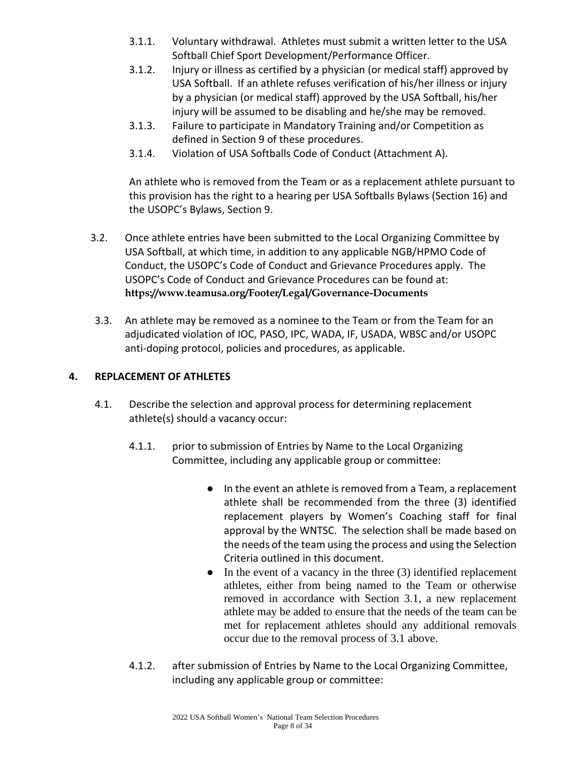- 3.1.1. Voluntary withdrawal. Athletes must submit a written letter to the USA Softball Chief Sport Development/Performance Officer.
- 3.1.2. Injury or illness as certified by a physician (or medical staff) approved by USA Softball. If an athlete refuses verification of his/her illness or injury by a physician (or medical staff) approved by the USA Softball, his/her injury will be assumed to be disabling and he/she may be removed.
- 3.1.3. Failure to participate in Mandatory Training and/or Competition as defined in Section 9 of these procedures.
- 3.1.4. Violation of USA Softballs Code of Conduct (Attachment A).

An athlete who is removed from the Team or as a replacement athlete pursuant to this provision has the right to a hearing per USA Softballs Bylaws (Section 16) and the USOPC's Bylaws, Section 9.

- 3.2. Once athlete entries have been submitted to the Local Organizing Committee by USA Softball, at which time, in addition to any applicable NGB/HPMO Code of Conduct, the USOPC's Code of Conduct and Grievance Procedures apply. The USOPC's Code of Conduct and Grievance Procedures can be found at: **https://www.teamusa.org/Footer/Legal/Governance-Documents**
- 3.3. An athlete may be removed as a nominee to the Team or from the Team for an adjudicated violation of IOC, PASO, IPC, WADA, IF, USADA, WBSC and/or USOPC anti-doping protocol, policies and procedures, as applicable.

## **4. REPLACEMENT OF ATHLETES**

- 4.1. Describe the selection and approval process for determining replacement athlete(s) should a vacancy occur:
	- 4.1.1. prior to submission of Entries by Name to the Local Organizing Committee, including any applicable group or committee:
		- In the event an athlete is removed from a Team, a replacement athlete shall be recommended from the three (3) identified replacement players by Women's Coaching staff for final approval by the WNTSC. The selection shall be made based on the needs of the team using the process and using the Selection Criteria outlined in this document.
		- In the event of a vacancy in the three (3) identified replacement athletes, either from being named to the Team or otherwise removed in accordance with Section 3.1, a new replacement athlete may be added to ensure that the needs of the team can be met for replacement athletes should any additional removals occur due to the removal process of 3.1 above.
	- 4.1.2. after submission of Entries by Name to the Local Organizing Committee, including any applicable group or committee: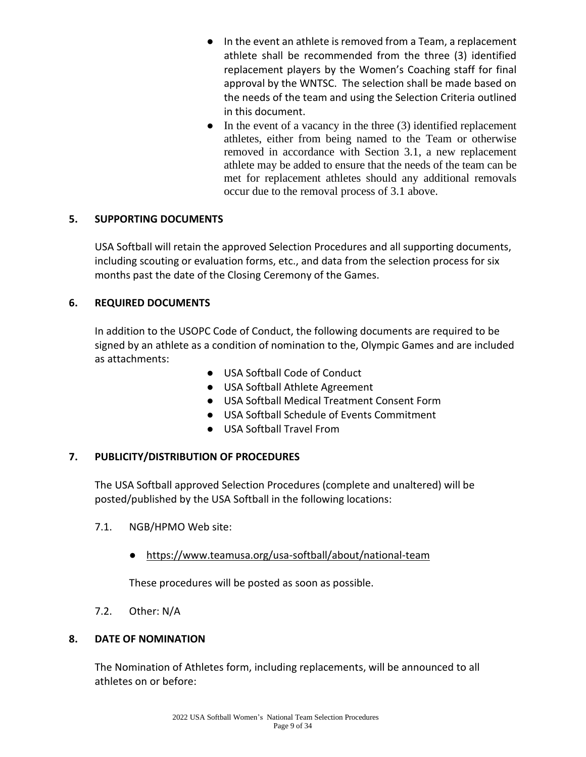- In the event an athlete is removed from a Team, a replacement athlete shall be recommended from the three (3) identified replacement players by the Women's Coaching staff for final approval by the WNTSC. The selection shall be made based on the needs of the team and using the Selection Criteria outlined in this document.
- $\bullet$  In the event of a vacancy in the three (3) identified replacement athletes, either from being named to the Team or otherwise removed in accordance with Section 3.1, a new replacement athlete may be added to ensure that the needs of the team can be met for replacement athletes should any additional removals occur due to the removal process of 3.1 above.

## **5. SUPPORTING DOCUMENTS**

USA Softball will retain the approved Selection Procedures and all supporting documents, including scouting or evaluation forms, etc., and data from the selection process for six months past the date of the Closing Ceremony of the Games.

## **6. REQUIRED DOCUMENTS**

In addition to the USOPC Code of Conduct, the following documents are required to be signed by an athlete as a condition of nomination to the, Olympic Games and are included as attachments:

- USA Softball Code of Conduct
- USA Softball Athlete Agreement
- USA Softball Medical Treatment Consent Form
- USA Softball Schedule of Events Commitment
- USA Softball Travel From

## **7. PUBLICITY/DISTRIBUTION OF PROCEDURES**

The USA Softball approved Selection Procedures (complete and unaltered) will be posted/published by the USA Softball in the following locations:

- 7.1. NGB/HPMO Web site:
	- <https://www.teamusa.org/usa-softball/about/national-team>

These procedures will be posted as soon as possible.

7.2. Other: N/A

## **8. DATE OF NOMINATION**

The Nomination of Athletes form, including replacements, will be announced to all athletes on or before: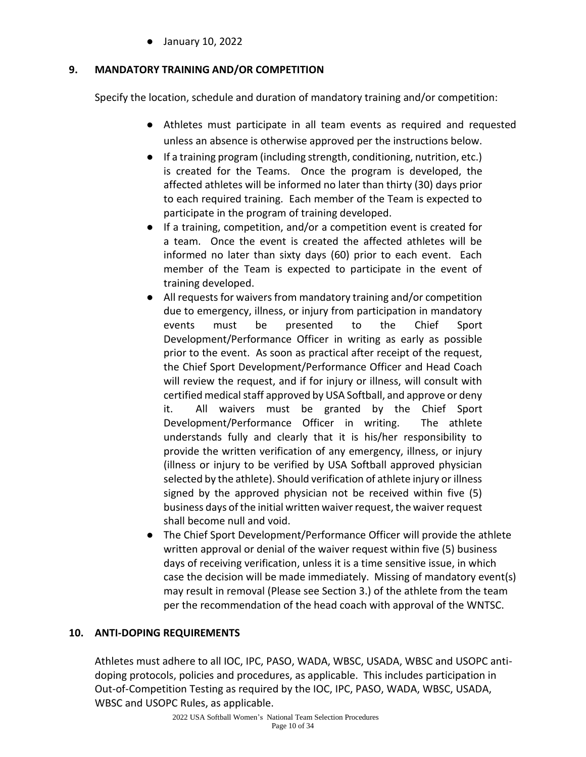● January 10, 2022

## **9. MANDATORY TRAINING AND/OR COMPETITION**

Specify the location, schedule and duration of mandatory training and/or competition:

- Athletes must participate in all team events as required and requested unless an absence is otherwise approved per the instructions below.
- If a training program (including strength, conditioning, nutrition, etc.) is created for the Teams. Once the program is developed, the affected athletes will be informed no later than thirty (30) days prior to each required training. Each member of the Team is expected to participate in the program of training developed.
- If a training, competition, and/or a competition event is created for a team. Once the event is created the affected athletes will be informed no later than sixty days (60) prior to each event. Each member of the Team is expected to participate in the event of training developed.
- All requests for waivers from mandatory training and/or competition due to emergency, illness, or injury from participation in mandatory events must be presented to the Chief Sport Development/Performance Officer in writing as early as possible prior to the event. As soon as practical after receipt of the request, the Chief Sport Development/Performance Officer and Head Coach will review the request, and if for injury or illness, will consult with certified medical staff approved by USA Softball, and approve or deny it. All waivers must be granted by the Chief Sport Development/Performance Officer in writing. The athlete understands fully and clearly that it is his/her responsibility to provide the written verification of any emergency, illness, or injury (illness or injury to be verified by USA Softball approved physician selected by the athlete). Should verification of athlete injury or illness signed by the approved physician not be received within five (5) business days of the initial written waiver request, the waiver request shall become null and void.
- The Chief Sport Development/Performance Officer will provide the athlete written approval or denial of the waiver request within five (5) business days of receiving verification, unless it is a time sensitive issue, in which case the decision will be made immediately. Missing of mandatory event(s) may result in removal (Please see Section 3.) of the athlete from the team per the recommendation of the head coach with approval of the WNTSC.

## **10. ANTI-DOPING REQUIREMENTS**

Athletes must adhere to all IOC, IPC, PASO, WADA, WBSC, USADA, WBSC and USOPC antidoping protocols, policies and procedures, as applicable. This includes participation in Out-of-Competition Testing as required by the IOC, IPC, PASO, WADA, WBSC, USADA, WBSC and USOPC Rules, as applicable.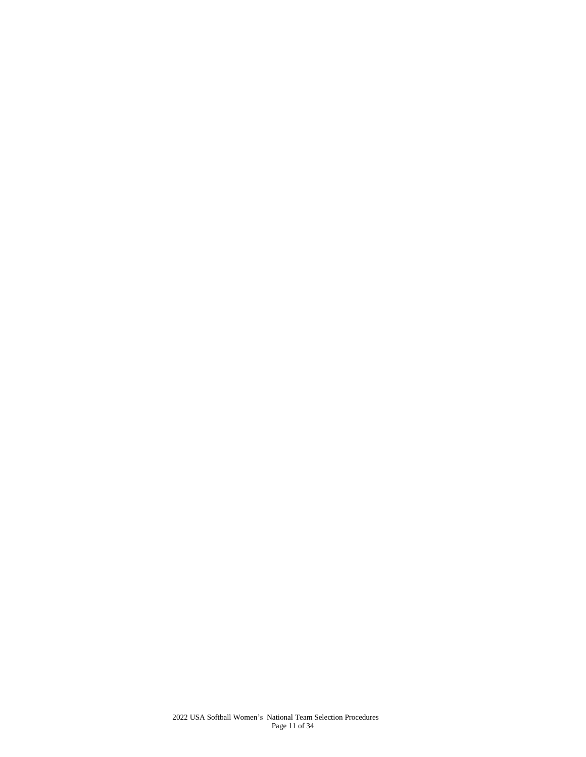2022 USA Softball Women's National Team Selection Procedures Page 11 of 34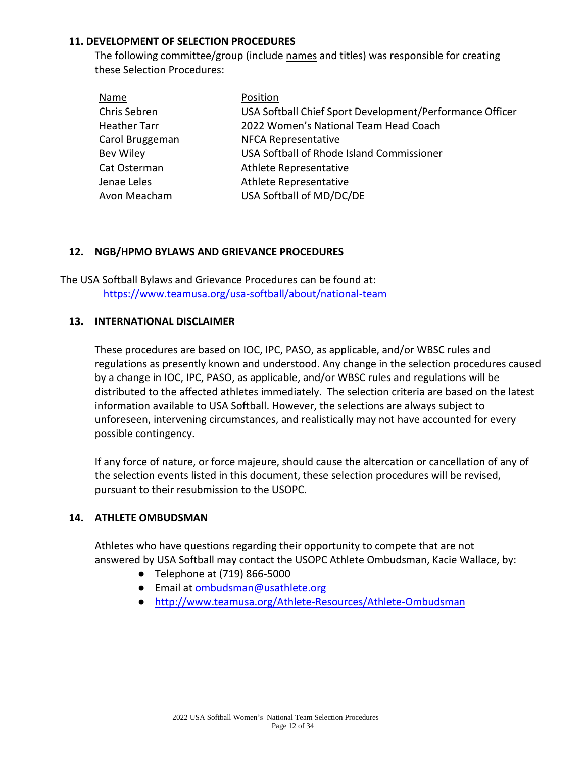## **11. DEVELOPMENT OF SELECTION PROCEDURES**

The following committee/group (include names and titles) was responsible for creating these Selection Procedures:

| <b>Name</b>         | Position                                                 |
|---------------------|----------------------------------------------------------|
| Chris Sebren        | USA Softball Chief Sport Development/Performance Officer |
| <b>Heather Tarr</b> | 2022 Women's National Team Head Coach                    |
| Carol Bruggeman     | <b>NFCA Representative</b>                               |
| Bev Wiley           | USA Softball of Rhode Island Commissioner                |
| Cat Osterman        | Athlete Representative                                   |
| Jenae Leles         | Athlete Representative                                   |
| Avon Meacham        | USA Softball of MD/DC/DE                                 |

## **12. NGB/HPMO BYLAWS AND GRIEVANCE PROCEDURES**

The USA Softball Bylaws and Grievance Procedures can be found at: <https://www.teamusa.org/usa-softball/about/national-team>

#### **13. INTERNATIONAL DISCLAIMER**

These procedures are based on IOC, IPC, PASO, as applicable, and/or WBSC rules and regulations as presently known and understood. Any change in the selection procedures caused by a change in IOC, IPC, PASO, as applicable, and/or WBSC rules and regulations will be distributed to the affected athletes immediately. The selection criteria are based on the latest information available to USA Softball. However, the selections are always subject to unforeseen, intervening circumstances, and realistically may not have accounted for every possible contingency.

If any force of nature, or force majeure, should cause the altercation or cancellation of any of the selection events listed in this document, these selection procedures will be revised, pursuant to their resubmission to the USOPC.

## **14. ATHLETE OMBUDSMAN**

Athletes who have questions regarding their opportunity to compete that are not answered by USA Softball may contact the USOPC Athlete Ombudsman, Kacie Wallace, by:

- Telephone at (719) 866-5000
- Email at [ombudsman@usathlete.org](mailto:ombudsman@usathlete.org)
- <http://www.teamusa.org/Athlete-Resources/Athlete-Ombudsman>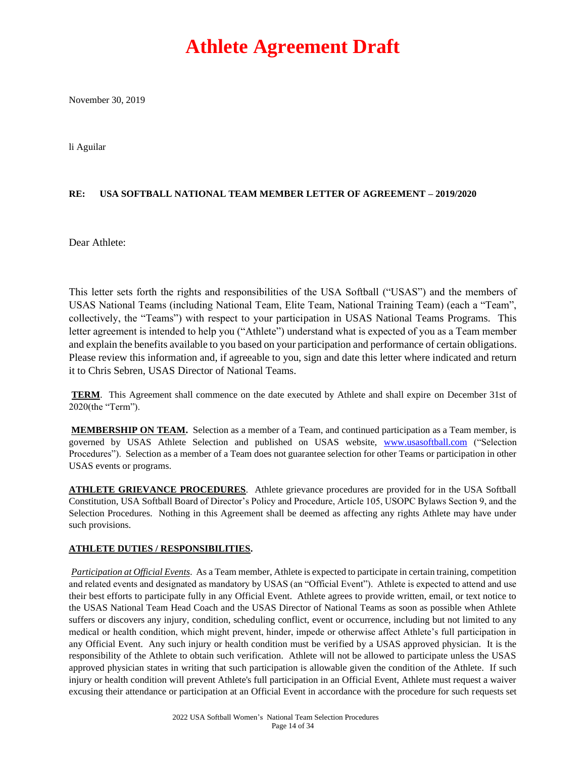# **Athlete Agreement Draft**

November 30, 2019

li Aguilar

#### **RE: USA SOFTBALL NATIONAL TEAM MEMBER LETTER OF AGREEMENT – 2019/2020**

Dear Athlete:

This letter sets forth the rights and responsibilities of the USA Softball ("USAS") and the members of USAS National Teams (including National Team, Elite Team, National Training Team) (each a "Team", collectively, the "Teams") with respect to your participation in USAS National Teams Programs. This letter agreement is intended to help you ("Athlete") understand what is expected of you as a Team member and explain the benefits available to you based on your participation and performance of certain obligations. Please review this information and, if agreeable to you, sign and date this letter where indicated and return it to Chris Sebren, USAS Director of National Teams.

**TERM**. This Agreement shall commence on the date executed by Athlete and shall expire on December 31st of 2020(the "Term").

**MEMBERSHIP ON TEAM.** Selection as a member of a Team, and continued participation as a Team member, is governed by USAS Athlete Selection and published on USAS website, www.usasoftball.com ("Selection Procedures"). Selection as a member of a Team does not guarantee selection for other Teams or participation in other USAS events or programs.

**ATHLETE GRIEVANCE PROCEDURES**. Athlete grievance procedures are provided for in the USA Softball Constitution, USA Softball Board of Director's Policy and Procedure, Article 105, USOPC Bylaws Section 9, and the Selection Procedures. Nothing in this Agreement shall be deemed as affecting any rights Athlete may have under such provisions.

#### **ATHLETE DUTIES / RESPONSIBILITIES.**

*Participation at Official Events*. As a Team member, Athlete is expected to participate in certain training, competition and related events and designated as mandatory by USAS (an "Official Event"). Athlete is expected to attend and use their best efforts to participate fully in any Official Event. Athlete agrees to provide written, email, or text notice to the USAS National Team Head Coach and the USAS Director of National Teams as soon as possible when Athlete suffers or discovers any injury, condition, scheduling conflict, event or occurrence, including but not limited to any medical or health condition, which might prevent, hinder, impede or otherwise affect Athlete's full participation in any Official Event. Any such injury or health condition must be verified by a USAS approved physician. It is the responsibility of the Athlete to obtain such verification. Athlete will not be allowed to participate unless the USAS approved physician states in writing that such participation is allowable given the condition of the Athlete. If such injury or health condition will prevent Athlete's full participation in an Official Event, Athlete must request a waiver excusing their attendance or participation at an Official Event in accordance with the procedure for such requests set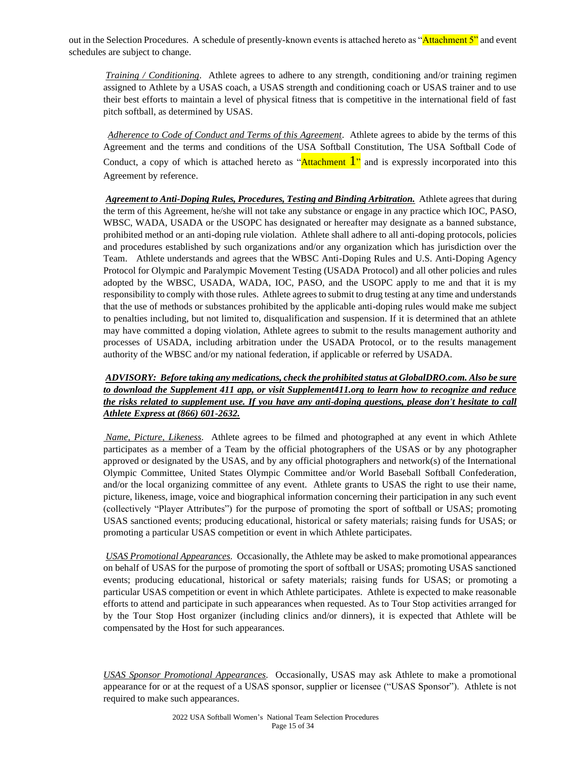out in the Selection Procedures. A schedule of presently-known events is attached hereto as "Attachment 5" and event schedules are subject to change.

*Training / Conditioning.* Athlete agrees to adhere to any strength, conditioning and/or training regimen assigned to Athlete by a USAS coach, a USAS strength and conditioning coach or USAS trainer and to use their best efforts to maintain a level of physical fitness that is competitive in the international field of fast pitch softball, as determined by USAS.

*Adherence to Code of Conduct and Terms of this Agreement*. Athlete agrees to abide by the terms of this Agreement and the terms and conditions of the USA Softball Constitution, The USA Softball Code of Conduct, a copy of which is attached hereto as "Attachment  $1$ " and is expressly incorporated into this Agreement by reference.

*Agreement to Anti-Doping Rules, Procedures, Testing and Binding Arbitration.* Athlete agrees that during the term of this Agreement, he/she will not take any substance or engage in any practice which IOC, PASO, WBSC, WADA, USADA or the USOPC has designated or hereafter may designate as a banned substance, prohibited method or an anti-doping rule violation. Athlete shall adhere to all anti-doping protocols, policies and procedures established by such organizations and/or any organization which has jurisdiction over the Team. Athlete understands and agrees that the WBSC Anti-Doping Rules and U.S. Anti-Doping Agency Protocol for Olympic and Paralympic Movement Testing (USADA Protocol) and all other policies and rules adopted by the WBSC, USADA, WADA, IOC, PASO, and the USOPC apply to me and that it is my responsibility to comply with those rules. Athlete agrees to submit to drug testing at any time and understands that the use of methods or substances prohibited by the applicable anti-doping rules would make me subject to penalties including, but not limited to, disqualification and suspension. If it is determined that an athlete may have committed a doping violation, Athlete agrees to submit to the results management authority and processes of USADA, including arbitration under the USADA Protocol, or to the results management authority of the WBSC and/or my national federation, if applicable or referred by USADA.

#### *ADVISORY: Before taking any medications, check the prohibited status at GlobalDRO.com. Also be sure to download the Supplement 411 app, or visit Supplement411.org to learn how to recognize and reduce the risks related to supplement use. If you have any anti-doping questions, please don't hesitate to call Athlete Express at (866) 601-2632.*

*Name, Picture, Likeness*. Athlete agrees to be filmed and photographed at any event in which Athlete participates as a member of a Team by the official photographers of the USAS or by any photographer approved or designated by the USAS, and by any official photographers and network(s) of the International Olympic Committee, United States Olympic Committee and/or World Baseball Softball Confederation, and/or the local organizing committee of any event. Athlete grants to USAS the right to use their name, picture, likeness, image, voice and biographical information concerning their participation in any such event (collectively "Player Attributes") for the purpose of promoting the sport of softball or USAS; promoting USAS sanctioned events; producing educational, historical or safety materials; raising funds for USAS; or promoting a particular USAS competition or event in which Athlete participates.

*USAS Promotional Appearances.* Occasionally, the Athlete may be asked to make promotional appearances on behalf of USAS for the purpose of promoting the sport of softball or USAS; promoting USAS sanctioned events; producing educational, historical or safety materials; raising funds for USAS; or promoting a particular USAS competition or event in which Athlete participates. Athlete is expected to make reasonable efforts to attend and participate in such appearances when requested. As to Tour Stop activities arranged for by the Tour Stop Host organizer (including clinics and/or dinners), it is expected that Athlete will be compensated by the Host for such appearances.

*USAS Sponsor Promotional Appearances.* Occasionally, USAS may ask Athlete to make a promotional appearance for or at the request of a USAS sponsor, supplier or licensee ("USAS Sponsor"). Athlete is not required to make such appearances.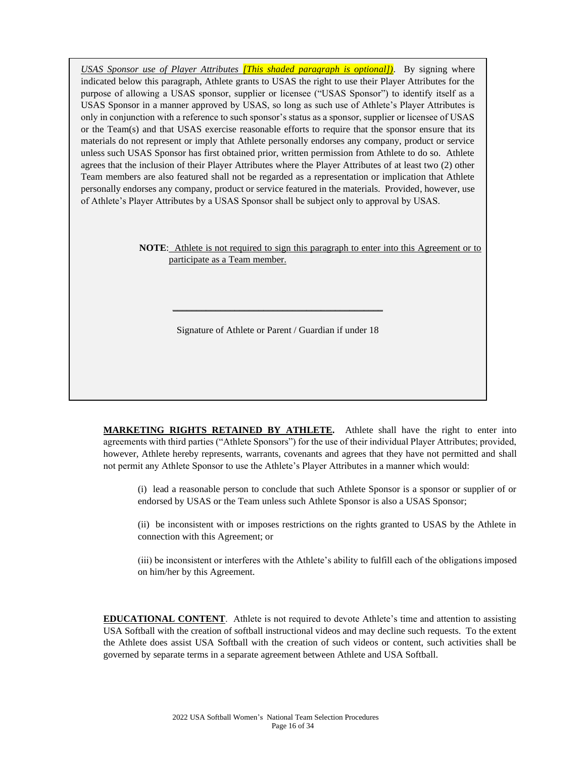*USAS Sponsor use of Player Attributes [This shaded paragraph is optional])*. By signing where indicated below this paragraph, Athlete grants to USAS the right to use their Player Attributes for the purpose of allowing a USAS sponsor, supplier or licensee ("USAS Sponsor") to identify itself as a USAS Sponsor in a manner approved by USAS, so long as such use of Athlete's Player Attributes is only in conjunction with a reference to such sponsor's status as a sponsor, supplier or licensee of USAS or the Team(s) and that USAS exercise reasonable efforts to require that the sponsor ensure that its materials do not represent or imply that Athlete personally endorses any company, product or service unless such USAS Sponsor has first obtained prior, written permission from Athlete to do so. Athlete agrees that the inclusion of their Player Attributes where the Player Attributes of at least two (2) other Team members are also featured shall not be regarded as a representation or implication that Athlete personally endorses any company, product or service featured in the materials. Provided, however, use of Athlete's Player Attributes by a USAS Sponsor shall be subject only to approval by USAS.

> **NOTE**: Athlete is not required to sign this paragraph to enter into this Agreement or to participate as a Team member.

> > Signature of Athlete or Parent / Guardian if under 18

\_\_\_\_\_\_\_\_\_\_\_\_\_\_\_\_\_\_\_\_\_\_\_\_\_\_\_\_\_\_\_\_\_\_\_\_\_\_\_\_\_\_\_\_

**MARKETING RIGHTS RETAINED BY ATHLETE.** Athlete shall have the right to enter into agreements with third parties ("Athlete Sponsors") for the use of their individual Player Attributes; provided, however, Athlete hereby represents, warrants, covenants and agrees that they have not permitted and shall not permit any Athlete Sponsor to use the Athlete's Player Attributes in a manner which would:

(i) lead a reasonable person to conclude that such Athlete Sponsor is a sponsor or supplier of or endorsed by USAS or the Team unless such Athlete Sponsor is also a USAS Sponsor;

(ii) be inconsistent with or imposes restrictions on the rights granted to USAS by the Athlete in connection with this Agreement; or

(iii) be inconsistent or interferes with the Athlete's ability to fulfill each of the obligations imposed on him/her by this Agreement.

**EDUCATIONAL CONTENT**. Athlete is not required to devote Athlete's time and attention to assisting USA Softball with the creation of softball instructional videos and may decline such requests. To the extent the Athlete does assist USA Softball with the creation of such videos or content, such activities shall be governed by separate terms in a separate agreement between Athlete and USA Softball.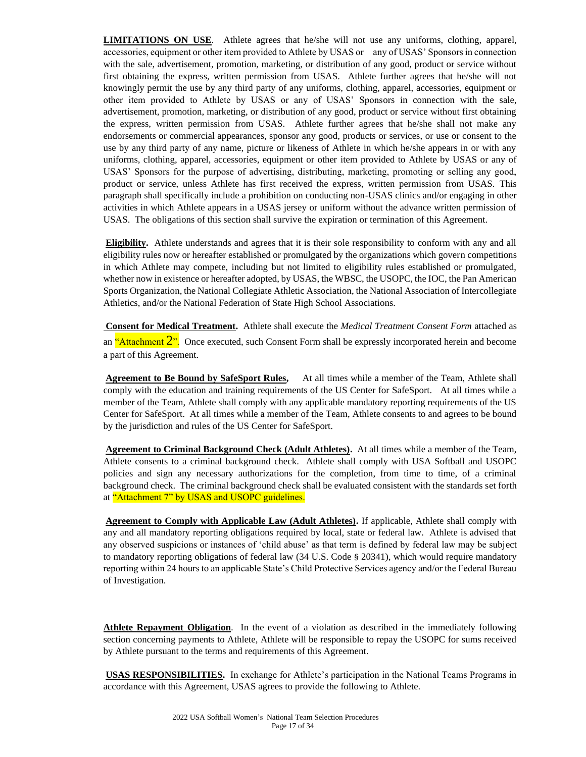**LIMITATIONS ON USE**. Athlete agrees that he/she will not use any uniforms, clothing, apparel, accessories, equipment or other item provided to Athlete by USAS or any of USAS' Sponsors in connection with the sale, advertisement, promotion, marketing, or distribution of any good, product or service without first obtaining the express, written permission from USAS. Athlete further agrees that he/she will not knowingly permit the use by any third party of any uniforms, clothing, apparel, accessories, equipment or other item provided to Athlete by USAS or any of USAS' Sponsors in connection with the sale, advertisement, promotion, marketing, or distribution of any good, product or service without first obtaining the express, written permission from USAS. Athlete further agrees that he/she shall not make any endorsements or commercial appearances, sponsor any good, products or services, or use or consent to the use by any third party of any name, picture or likeness of Athlete in which he/she appears in or with any uniforms, clothing, apparel, accessories, equipment or other item provided to Athlete by USAS or any of USAS' Sponsors for the purpose of advertising, distributing, marketing, promoting or selling any good, product or service, unless Athlete has first received the express, written permission from USAS. This paragraph shall specifically include a prohibition on conducting non-USAS clinics and/or engaging in other activities in which Athlete appears in a USAS jersey or uniform without the advance written permission of USAS. The obligations of this section shall survive the expiration or termination of this Agreement.

**Eligibility.** Athlete understands and agrees that it is their sole responsibility to conform with any and all eligibility rules now or hereafter established or promulgated by the organizations which govern competitions in which Athlete may compete, including but not limited to eligibility rules established or promulgated, whether now in existence or hereafter adopted, by USAS, the WBSC, the USOPC, the IOC, the Pan American Sports Organization, the National Collegiate Athletic Association, the National Association of Intercollegiate Athletics, and/or the National Federation of State High School Associations.

**Consent for Medical Treatment.** Athlete shall execute the *Medical Treatment Consent Form* attached as an "Attachment  $2$ ". Once executed, such Consent Form shall be expressly incorporated herein and become a part of this Agreement.

**Agreement to Be Bound by SafeSport Rules,** At all times while a member of the Team, Athlete shall comply with the education and training requirements of the US Center for SafeSport. At all times while a member of the Team, Athlete shall comply with any applicable mandatory reporting requirements of the US Center for SafeSport. At all times while a member of the Team, Athlete consents to and agrees to be bound by the jurisdiction and rules of the US Center for SafeSport.

**Agreement to Criminal Background Check (Adult Athletes).** At all times while a member of the Team, Athlete consents to a criminal background check. Athlete shall comply with USA Softball and USOPC policies and sign any necessary authorizations for the completion, from time to time, of a criminal background check. The criminal background check shall be evaluated consistent with the standards set forth at "Attachment 7" by USAS and USOPC guidelines.

**Agreement to Comply with Applicable Law (Adult Athletes).** If applicable, Athlete shall comply with any and all mandatory reporting obligations required by local, state or federal law. Athlete is advised that any observed suspicions or instances of 'child abuse' as that term is defined by federal law may be subject to mandatory reporting obligations of federal law (34 U.S. Code § 20341), which would require mandatory reporting within 24 hours to an applicable State's Child Protective Services agency and/or the Federal Bureau of Investigation.

**Athlete Repayment Obligation**. In the event of a violation as described in the immediately following section concerning payments to Athlete, Athlete will be responsible to repay the USOPC for sums received by Athlete pursuant to the terms and requirements of this Agreement.

**USAS RESPONSIBILITIES.** In exchange for Athlete's participation in the National Teams Programs in accordance with this Agreement, USAS agrees to provide the following to Athlete.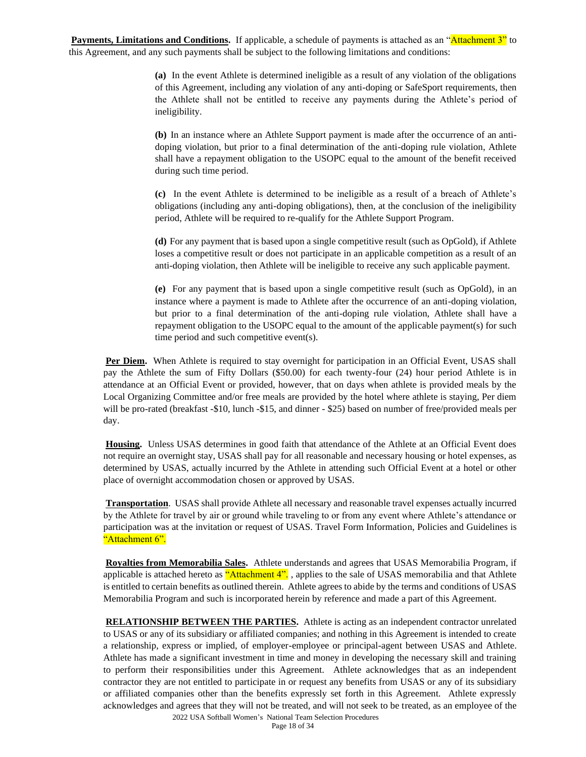**Payments, Limitations and Conditions.** If applicable, a schedule of payments is attached as an "**Attachment 3**" to this Agreement, and any such payments shall be subject to the following limitations and conditions:

> **(a)** In the event Athlete is determined ineligible as a result of any violation of the obligations of this Agreement, including any violation of any anti-doping or SafeSport requirements, then the Athlete shall not be entitled to receive any payments during the Athlete's period of ineligibility.

> **(b)** In an instance where an Athlete Support payment is made after the occurrence of an antidoping violation, but prior to a final determination of the anti-doping rule violation, Athlete shall have a repayment obligation to the USOPC equal to the amount of the benefit received during such time period.

> **(c)** In the event Athlete is determined to be ineligible as a result of a breach of Athlete's obligations (including any anti-doping obligations), then, at the conclusion of the ineligibility period, Athlete will be required to re-qualify for the Athlete Support Program.

> **(d)** For any payment that is based upon a single competitive result (such as OpGold), if Athlete loses a competitive result or does not participate in an applicable competition as a result of an anti-doping violation, then Athlete will be ineligible to receive any such applicable payment.

> **(e)** For any payment that is based upon a single competitive result (such as OpGold), in an instance where a payment is made to Athlete after the occurrence of an anti-doping violation, but prior to a final determination of the anti-doping rule violation, Athlete shall have a repayment obligation to the USOPC equal to the amount of the applicable payment(s) for such time period and such competitive event(s).

**Per Diem.** When Athlete is required to stay overnight for participation in an Official Event, USAS shall pay the Athlete the sum of Fifty Dollars (\$50.00) for each twenty-four (24) hour period Athlete is in attendance at an Official Event or provided, however, that on days when athlete is provided meals by the Local Organizing Committee and/or free meals are provided by the hotel where athlete is staying, Per diem will be pro-rated (breakfast -\$10, lunch -\$15, and dinner - \$25) based on number of free/provided meals per day.

**Housing.** Unless USAS determines in good faith that attendance of the Athlete at an Official Event does not require an overnight stay, USAS shall pay for all reasonable and necessary housing or hotel expenses, as determined by USAS, actually incurred by the Athlete in attending such Official Event at a hotel or other place of overnight accommodation chosen or approved by USAS.

**Transportation**. USAS shall provide Athlete all necessary and reasonable travel expenses actually incurred by the Athlete for travel by air or ground while traveling to or from any event where Athlete's attendance or participation was at the invitation or request of USAS. Travel Form Information, Policies and Guidelines is "Attachment 6".

**Royalties from Memorabilia Sales.** Athlete understands and agrees that USAS Memorabilia Program, if applicable is attached hereto as "Attachment 4". , applies to the sale of USAS memorabilia and that Athlete is entitled to certain benefits as outlined therein. Athlete agrees to abide by the terms and conditions of USAS Memorabilia Program and such is incorporated herein by reference and made a part of this Agreement.

2022 USA Softball Women's National Team Selection Procedures **RELATIONSHIP BETWEEN THE PARTIES.** Athlete is acting as an independent contractor unrelated to USAS or any of its subsidiary or affiliated companies; and nothing in this Agreement is intended to create a relationship, express or implied, of employer-employee or principal-agent between USAS and Athlete. Athlete has made a significant investment in time and money in developing the necessary skill and training to perform their responsibilities under this Agreement. Athlete acknowledges that as an independent contractor they are not entitled to participate in or request any benefits from USAS or any of its subsidiary or affiliated companies other than the benefits expressly set forth in this Agreement. Athlete expressly acknowledges and agrees that they will not be treated, and will not seek to be treated, as an employee of the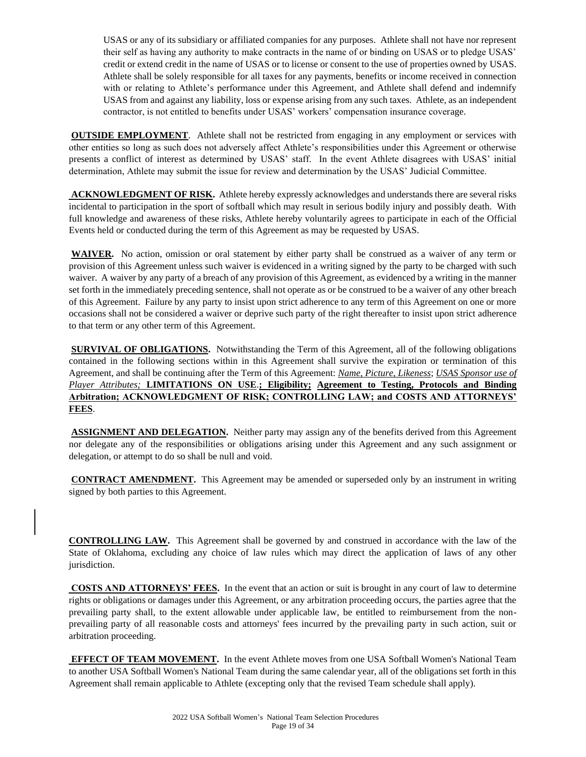USAS or any of its subsidiary or affiliated companies for any purposes. Athlete shall not have nor represent their self as having any authority to make contracts in the name of or binding on USAS or to pledge USAS' credit or extend credit in the name of USAS or to license or consent to the use of properties owned by USAS. Athlete shall be solely responsible for all taxes for any payments, benefits or income received in connection with or relating to Athlete's performance under this Agreement, and Athlete shall defend and indemnify USAS from and against any liability, loss or expense arising from any such taxes. Athlete, as an independent contractor, is not entitled to benefits under USAS' workers' compensation insurance coverage.

**OUTSIDE EMPLOYMENT**. Athlete shall not be restricted from engaging in any employment or services with other entities so long as such does not adversely affect Athlete's responsibilities under this Agreement or otherwise presents a conflict of interest as determined by USAS' staff. In the event Athlete disagrees with USAS' initial determination, Athlete may submit the issue for review and determination by the USAS' Judicial Committee.

**ACKNOWLEDGMENT OF RISK.** Athlete hereby expressly acknowledges and understands there are several risks incidental to participation in the sport of softball which may result in serious bodily injury and possibly death. With full knowledge and awareness of these risks, Athlete hereby voluntarily agrees to participate in each of the Official Events held or conducted during the term of this Agreement as may be requested by USAS.

**WAIVER.** No action, omission or oral statement by either party shall be construed as a waiver of any term or provision of this Agreement unless such waiver is evidenced in a writing signed by the party to be charged with such waiver. A waiver by any party of a breach of any provision of this Agreement, as evidenced by a writing in the manner set forth in the immediately preceding sentence, shall not operate as or be construed to be a waiver of any other breach of this Agreement. Failure by any party to insist upon strict adherence to any term of this Agreement on one or more occasions shall not be considered a waiver or deprive such party of the right thereafter to insist upon strict adherence to that term or any other term of this Agreement.

**SURVIVAL OF OBLIGATIONS.** Notwithstanding the Term of this Agreement, all of the following obligations contained in the following sections within in this Agreement shall survive the expiration or termination of this Agreement, and shall be continuing after the Term of this Agreement: *Name, Picture, Likeness*; *USAS Sponsor use of Player Attributes;* **LIMITATIONS ON USE**.**; Eligibility; Agreement to Testing, Protocols and Binding Arbitration; ACKNOWLEDGMENT OF RISK; CONTROLLING LAW; and COSTS AND ATTORNEYS' FEES**.

**ASSIGNMENT AND DELEGATION.** Neither party may assign any of the benefits derived from this Agreement nor delegate any of the responsibilities or obligations arising under this Agreement and any such assignment or delegation, or attempt to do so shall be null and void.

**CONTRACT AMENDMENT.** This Agreement may be amended or superseded only by an instrument in writing signed by both parties to this Agreement.

**CONTROLLING LAW.** This Agreement shall be governed by and construed in accordance with the law of the State of Oklahoma, excluding any choice of law rules which may direct the application of laws of any other jurisdiction.

**COSTS AND ATTORNEYS' FEES.** In the event that an action or suit is brought in any court of law to determine rights or obligations or damages under this Agreement, or any arbitration proceeding occurs, the parties agree that the prevailing party shall, to the extent allowable under applicable law, be entitled to reimbursement from the nonprevailing party of all reasonable costs and attorneys' fees incurred by the prevailing party in such action, suit or arbitration proceeding.

**EFFECT OF TEAM MOVEMENT.** In the event Athlete moves from one USA Softball Women's National Team to another USA Softball Women's National Team during the same calendar year, all of the obligations set forth in this Agreement shall remain applicable to Athlete (excepting only that the revised Team schedule shall apply).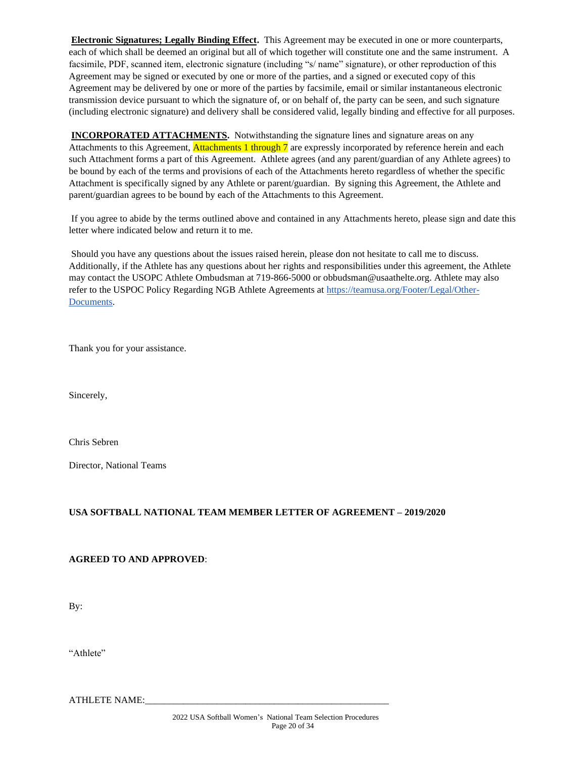**Electronic Signatures; Legally Binding Effect.** This Agreement may be executed in one or more counterparts, each of which shall be deemed an original but all of which together will constitute one and the same instrument. A facsimile, PDF, scanned item, electronic signature (including "s/ name" signature), or other reproduction of this Agreement may be signed or executed by one or more of the parties, and a signed or executed copy of this Agreement may be delivered by one or more of the parties by facsimile, email or similar instantaneous electronic transmission device pursuant to which the signature of, or on behalf of, the party can be seen, and such signature (including electronic signature) and delivery shall be considered valid, legally binding and effective for all purposes.

**INCORPORATED ATTACHMENTS.** Notwithstanding the signature lines and signature areas on any Attachments to this Agreement, **Attachments 1 through 7** are expressly incorporated by reference herein and each such Attachment forms a part of this Agreement. Athlete agrees (and any parent/guardian of any Athlete agrees) to be bound by each of the terms and provisions of each of the Attachments hereto regardless of whether the specific Attachment is specifically signed by any Athlete or parent/guardian. By signing this Agreement, the Athlete and parent/guardian agrees to be bound by each of the Attachments to this Agreement.

If you agree to abide by the terms outlined above and contained in any Attachments hereto, please sign and date this letter where indicated below and return it to me.

Should you have any questions about the issues raised herein, please don not hesitate to call me to discuss. Additionally, if the Athlete has any questions about her rights and responsibilities under this agreement, the Athlete may contact the USOPC Athlete Ombudsman at 719-866-5000 or obbudsman@usaathelte.org. Athlete may also refer to the USPOC Policy Regarding NGB Athlete Agreements at [https://teamusa.org/Footer/Legal/Other-](https://teamusa.org/Footer/Legal/Other-Documents)[Documents.](https://teamusa.org/Footer/Legal/Other-Documents)

Thank you for your assistance.

Sincerely,

Chris Sebren

Director, National Teams

#### **USA SOFTBALL NATIONAL TEAM MEMBER LETTER OF AGREEMENT – 2019/2020**

#### **AGREED TO AND APPROVED**:

By:

"Athlete"

ATHLETE NAME: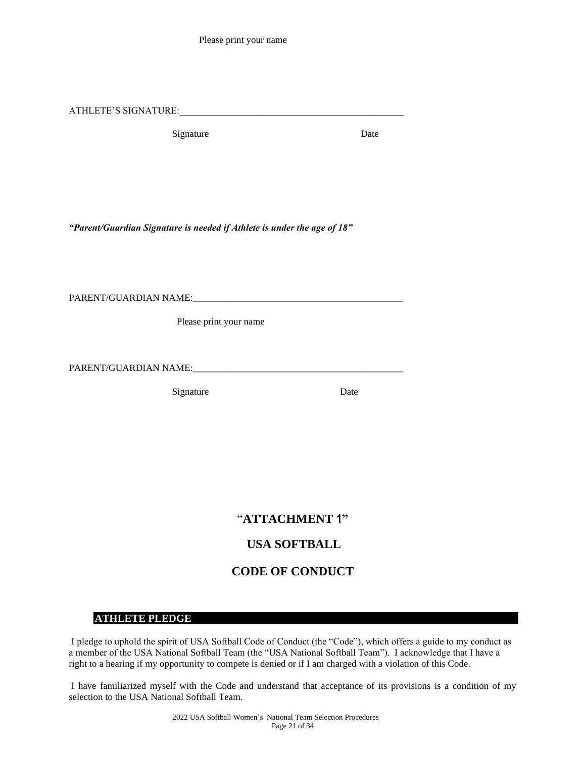Please print your name

ATHLETE'S SIGNATURE:

Signature Date

*"Parent/Guardian Signature is needed if Athlete is under the age of 18"*

PARENT/GUARDIAN NAME:

Please print your name

PARENT/GUARDIAN NAME:

Signature Date

## "**ATTACHMENT 1"**

## **USA SOFTBALL**

## **CODE OF CONDUCT**

## **ATHLETE PLEDGE**

I pledge to uphold the spirit of USA Softball Code of Conduct (the "Code"), which offers a guide to my conduct as a member of the USA National Softball Team (the "USA National Softball Team"). I acknowledge that I have a right to a hearing if my opportunity to compete is denied or if I am charged with a violation of this Code.

I have familiarized myself with the Code and understand that acceptance of its provisions is a condition of my selection to the USA National Softball Team.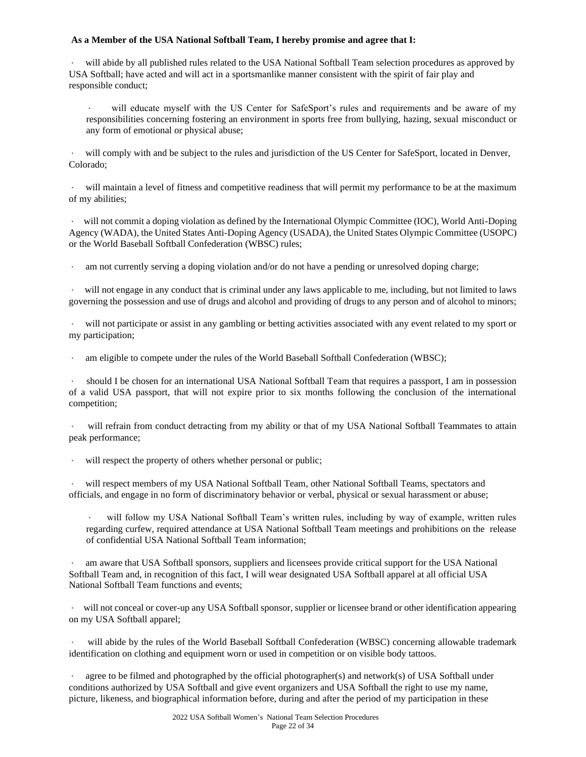#### **As a Member of the USA National Softball Team, I hereby promise and agree that I:**

will abide by all published rules related to the USA National Softball Team selection procedures as approved by USA Softball; have acted and will act in a sportsmanlike manner consistent with the spirit of fair play and responsible conduct;

will educate myself with the US Center for SafeSport's rules and requirements and be aware of my responsibilities concerning fostering an environment in sports free from bullying, hazing, sexual misconduct or any form of emotional or physical abuse;

will comply with and be subject to the rules and jurisdiction of the US Center for SafeSport, located in Denver, Colorado;

will maintain a level of fitness and competitive readiness that will permit my performance to be at the maximum of my abilities;

· will not commit a doping violation as defined by the International Olympic Committee (IOC), World Anti-Doping Agency (WADA), the United States Anti-Doping Agency (USADA), the United States Olympic Committee (USOPC) or the World Baseball Softball Confederation (WBSC) rules;

am not currently serving a doping violation and/or do not have a pending or unresolved doping charge;

will not engage in any conduct that is criminal under any laws applicable to me, including, but not limited to laws governing the possession and use of drugs and alcohol and providing of drugs to any person and of alcohol to minors;

will not participate or assist in any gambling or betting activities associated with any event related to my sport or my participation;

am eligible to compete under the rules of the World Baseball Softball Confederation (WBSC);

should I be chosen for an international USA National Softball Team that requires a passport, I am in possession of a valid USA passport, that will not expire prior to six months following the conclusion of the international competition;

will refrain from conduct detracting from my ability or that of my USA National Softball Teammates to attain peak performance;

will respect the property of others whether personal or public;

will respect members of my USA National Softball Team, other National Softball Teams, spectators and officials, and engage in no form of discriminatory behavior or verbal, physical or sexual harassment or abuse;

will follow my USA National Softball Team's written rules, including by way of example, written rules regarding curfew, required attendance at USA National Softball Team meetings and prohibitions on the release of confidential USA National Softball Team information;

am aware that USA Softball sponsors, suppliers and licensees provide critical support for the USA National Softball Team and, in recognition of this fact, I will wear designated USA Softball apparel at all official USA National Softball Team functions and events;

· will not conceal or cover-up any USA Softball sponsor, supplier or licensee brand or other identification appearing on my USA Softball apparel;

will abide by the rules of the World Baseball Softball Confederation (WBSC) concerning allowable trademark identification on clothing and equipment worn or used in competition or on visible body tattoos.

agree to be filmed and photographed by the official photographer(s) and network(s) of USA Softball under conditions authorized by USA Softball and give event organizers and USA Softball the right to use my name, picture, likeness, and biographical information before, during and after the period of my participation in these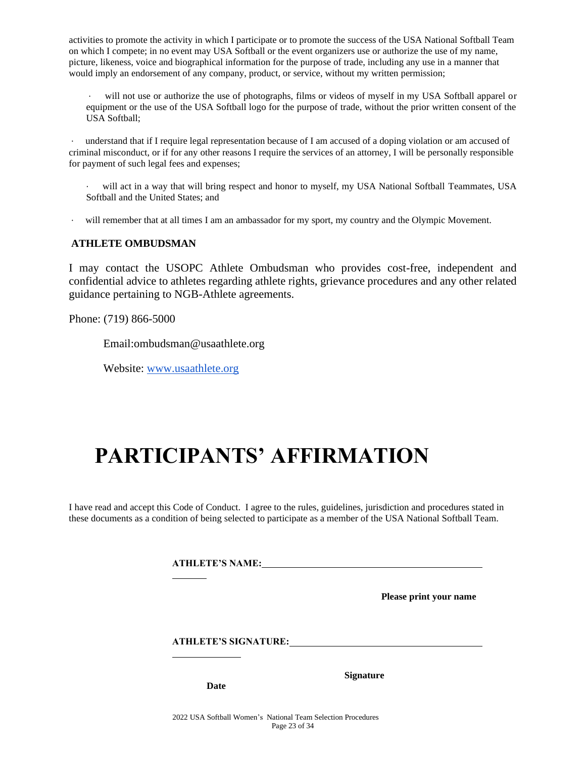activities to promote the activity in which I participate or to promote the success of the USA National Softball Team on which I compete; in no event may USA Softball or the event organizers use or authorize the use of my name, picture, likeness, voice and biographical information for the purpose of trade, including any use in a manner that would imply an endorsement of any company, product, or service, without my written permission;

will not use or authorize the use of photographs, films or videos of myself in my USA Softball apparel or equipment or the use of the USA Softball logo for the purpose of trade, without the prior written consent of the USA Softball;

· understand that if I require legal representation because of I am accused of a doping violation or am accused of criminal misconduct, or if for any other reasons I require the services of an attorney, I will be personally responsible for payment of such legal fees and expenses;

will act in a way that will bring respect and honor to myself, my USA National Softball Teammates, USA Softball and the United States; and

will remember that at all times I am an ambassador for my sport, my country and the Olympic Movement.

#### **ATHLETE OMBUDSMAN**

I may contact the USOPC Athlete Ombudsman who provides cost-free, independent and confidential advice to athletes regarding athlete rights, grievance procedures and any other related guidance pertaining to NGB-Athlete agreements.

Phone: (719) 866-5000

Email:ombudsman@usaathlete.org

Website[:](http://www.usaathlete.org/) [www.usaathlete.org](http://www.usaathlete.org/)

# **PARTICIPANTS' AFFIRMATION**

I have read and accept this Code of Conduct. I agree to the rules, guidelines, jurisdiction and procedures stated in these documents as a condition of being selected to participate as a member of the USA National Softball Team.

**ATHLETE'S NAME:**

**Please print your name**

**ATHLETE'S SIGNATURE:**

**Signature** 

**Date**

l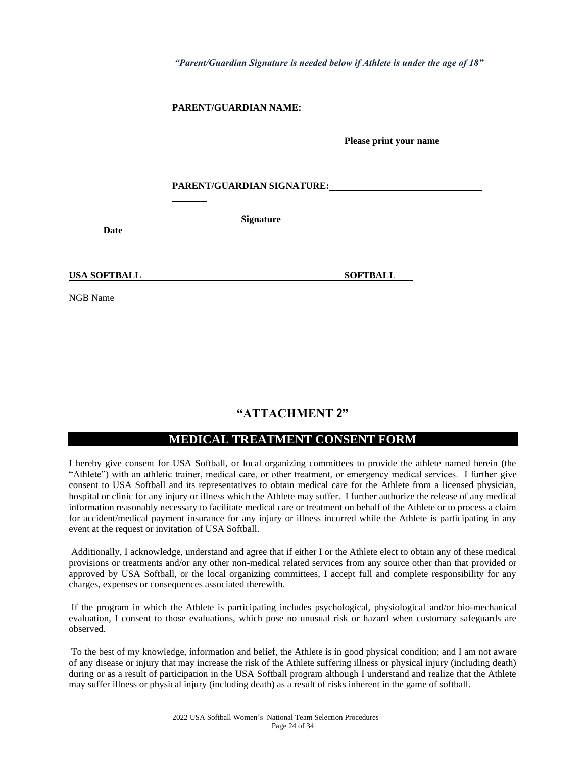*"Parent/Guardian Signature is needed below if Athlete is under the age of 18"*

**PARENT/GUARDIAN NAME:**

**Please print your name**

#### **PARENT/GUARDIAN SIGNATURE:**

**Signature** 

**Date**

**USA SOFTBALL SOFTBALL** 

NGB Name

## **"ATTACHMENT 2"**

## **MEDICAL TREATMENT CONSENT FORM**

I hereby give consent for USA Softball, or local organizing committees to provide the athlete named herein (the "Athlete") with an athletic trainer, medical care, or other treatment, or emergency medical services. I further give consent to USA Softball and its representatives to obtain medical care for the Athlete from a licensed physician, hospital or clinic for any injury or illness which the Athlete may suffer. I further authorize the release of any medical information reasonably necessary to facilitate medical care or treatment on behalf of the Athlete or to process a claim for accident/medical payment insurance for any injury or illness incurred while the Athlete is participating in any event at the request or invitation of USA Softball.

Additionally, I acknowledge, understand and agree that if either I or the Athlete elect to obtain any of these medical provisions or treatments and/or any other non-medical related services from any source other than that provided or approved by USA Softball, or the local organizing committees, I accept full and complete responsibility for any charges, expenses or consequences associated therewith.

If the program in which the Athlete is participating includes psychological, physiological and/or bio-mechanical evaluation, I consent to those evaluations, which pose no unusual risk or hazard when customary safeguards are observed.

To the best of my knowledge, information and belief, the Athlete is in good physical condition; and I am not aware of any disease or injury that may increase the risk of the Athlete suffering illness or physical injury (including death) during or as a result of participation in the USA Softball program although I understand and realize that the Athlete may suffer illness or physical injury (including death) as a result of risks inherent in the game of softball.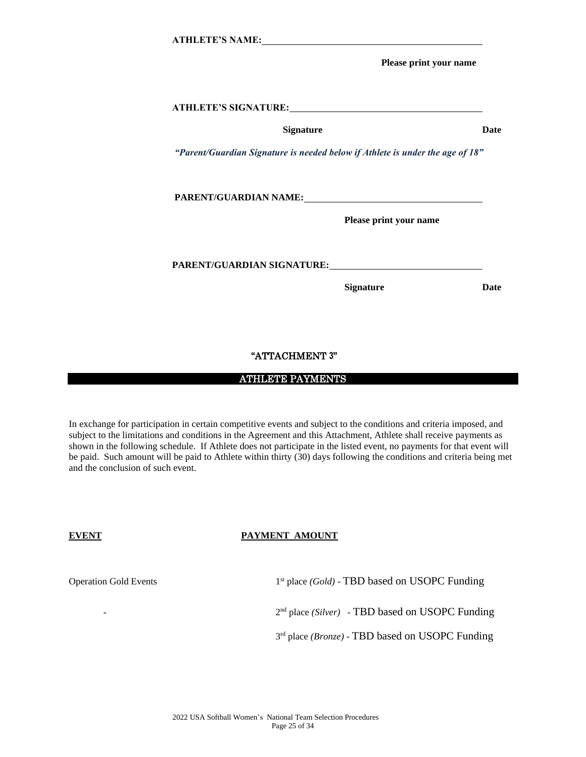**ATHLETE'S NAME:**

**Please print your name**

**ATHLETE'S SIGNATURE:**

**Signature Date**

*"Parent/Guardian Signature is needed below if Athlete is under the age of 18"*

**PARENT/GUARDIAN NAME:**

**Please print your name**

**PARENT/GUARDIAN SIGNATURE:**

**Signature Date**

#### "ATTACHMENT **3**"

#### ATHLETE PAYMENTS

In exchange for participation in certain competitive events and subject to the conditions and criteria imposed, and subject to the limitations and conditions in the Agreement and this Attachment, Athlete shall receive payments as shown in the following schedule. If Athlete does not participate in the listed event, no payments for that event will be paid. Such amount will be paid to Athlete within thirty (30) days following the conditions and criteria being met and the conclusion of such event.

#### **EVENT AMOUNT**

Operation Gold Events 1

1<sup>st</sup> place *(Gold)* - TBD based on USOPC Funding

- 2 2<sup>nd</sup> place *(Silver)* - TBD based on USOPC Funding

 3 3<sup>rd</sup> place *(Bronze)* - TBD based on USOPC Funding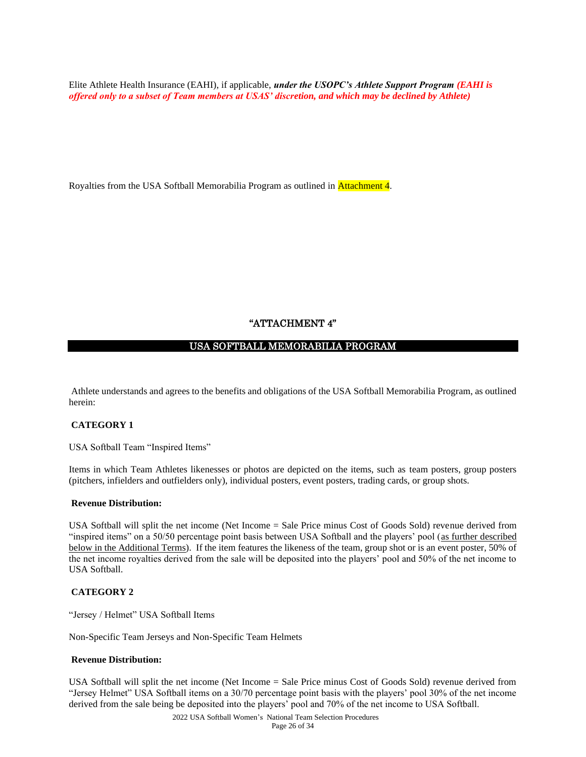Elite Athlete Health Insurance (EAHI), if applicable, *under the USOPC's Athlete Support Program (EAHI is offered only to a subset of Team members at USAS' discretion, and which may be declined by Athlete)* 

Royalties from the USA Softball Memorabilia Program as outlined in Attachment 4.

#### "ATTACHMENT 4"

#### USA SOFTBALL MEMORABILIA PROGRAM

Athlete understands and agrees to the benefits and obligations of the USA Softball Memorabilia Program, as outlined herein:

#### **CATEGORY 1**

USA Softball Team "Inspired Items"

Items in which Team Athletes likenesses or photos are depicted on the items, such as team posters, group posters (pitchers, infielders and outfielders only), individual posters, event posters, trading cards, or group shots.

#### **Revenue Distribution:**

USA Softball will split the net income (Net Income = Sale Price minus Cost of Goods Sold) revenue derived from "inspired items" on a 50/50 percentage point basis between USA Softball and the players' pool (as further described below in the Additional Terms). If the item features the likeness of the team, group shot or is an event poster, 50% of the net income royalties derived from the sale will be deposited into the players' pool and 50% of the net income to USA Softball.

#### **CATEGORY 2**

"Jersey / Helmet" USA Softball Items

Non-Specific Team Jerseys and Non-Specific Team Helmets

#### **Revenue Distribution:**

USA Softball will split the net income (Net Income = Sale Price minus Cost of Goods Sold) revenue derived from "Jersey Helmet" USA Softball items on a 30/70 percentage point basis with the players' pool 30% of the net income derived from the sale being be deposited into the players' pool and 70% of the net income to USA Softball.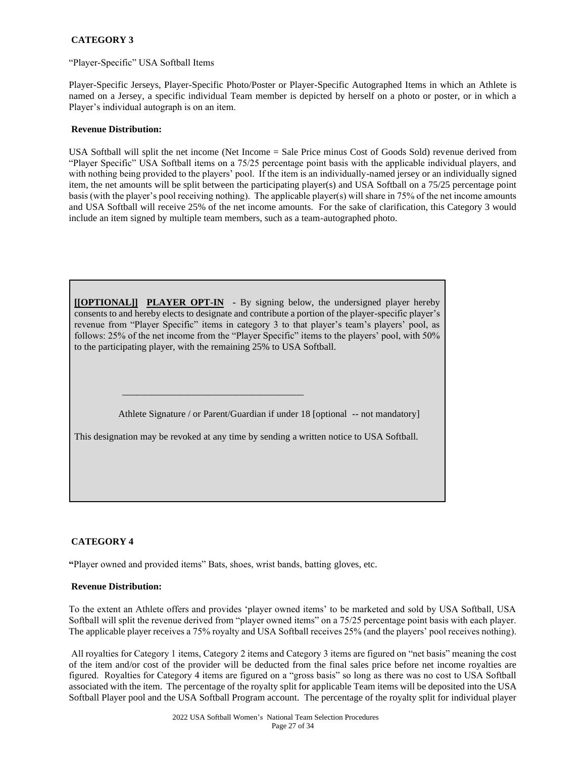#### **CATEGORY 3**

"Player-Specific" USA Softball Items

Player-Specific Jerseys, Player-Specific Photo/Poster or Player-Specific Autographed Items in which an Athlete is named on a Jersey, a specific individual Team member is depicted by herself on a photo or poster, or in which a Player's individual autograph is on an item.

#### **Revenue Distribution:**

USA Softball will split the net income (Net Income = Sale Price minus Cost of Goods Sold) revenue derived from "Player Specific" USA Softball items on a 75/25 percentage point basis with the applicable individual players, and with nothing being provided to the players' pool. If the item is an individually-named jersey or an individually signed item, the net amounts will be split between the participating player(s) and USA Softball on a 75/25 percentage point basis (with the player's pool receiving nothing). The applicable player(s) will share in 75% of the net income amounts and USA Softball will receive 25% of the net income amounts. For the sake of clarification, this Category 3 would include an item signed by multiple team members, such as a team-autographed photo.

**[[OPTIONAL]] PLAYER OPT-IN -** By signing below, the undersigned player hereby consents to and hereby elects to designate and contribute a portion of the player-specific player's revenue from "Player Specific" items in category 3 to that player's team's players' pool, as follows: 25% of the net income from the "Player Specific" items to the players' pool, with 50% to the participating player, with the remaining 25% to USA Softball.

Athlete Signature / or Parent/Guardian if under 18 [optional -- not mandatory]

This designation may be revoked at any time by sending a written notice to USA Softball.

 $\mathcal{L}_\text{max} = \frac{1}{2} \sum_{i=1}^{n} \frac{1}{2} \sum_{i=1}^{n} \frac{1}{2} \sum_{i=1}^{n} \frac{1}{2} \sum_{i=1}^{n} \frac{1}{2} \sum_{i=1}^{n} \frac{1}{2} \sum_{i=1}^{n} \frac{1}{2} \sum_{i=1}^{n} \frac{1}{2} \sum_{i=1}^{n} \frac{1}{2} \sum_{i=1}^{n} \frac{1}{2} \sum_{i=1}^{n} \frac{1}{2} \sum_{i=1}^{n} \frac{1}{2} \sum_{i=1}^{n} \frac{1$ 

#### **CATEGORY 4**

**"**Player owned and provided items" Bats, shoes, wrist bands, batting gloves, etc.

#### **Revenue Distribution:**

To the extent an Athlete offers and provides 'player owned items' to be marketed and sold by USA Softball, USA Softball will split the revenue derived from "player owned items" on a 75/25 percentage point basis with each player. The applicable player receives a 75% royalty and USA Softball receives 25% (and the players' pool receives nothing).

All royalties for Category 1 items, Category 2 items and Category 3 items are figured on "net basis" meaning the cost of the item and/or cost of the provider will be deducted from the final sales price before net income royalties are figured. Royalties for Category 4 items are figured on a "gross basis" so long as there was no cost to USA Softball associated with the item. The percentage of the royalty split for applicable Team items will be deposited into the USA Softball Player pool and the USA Softball Program account. The percentage of the royalty split for individual player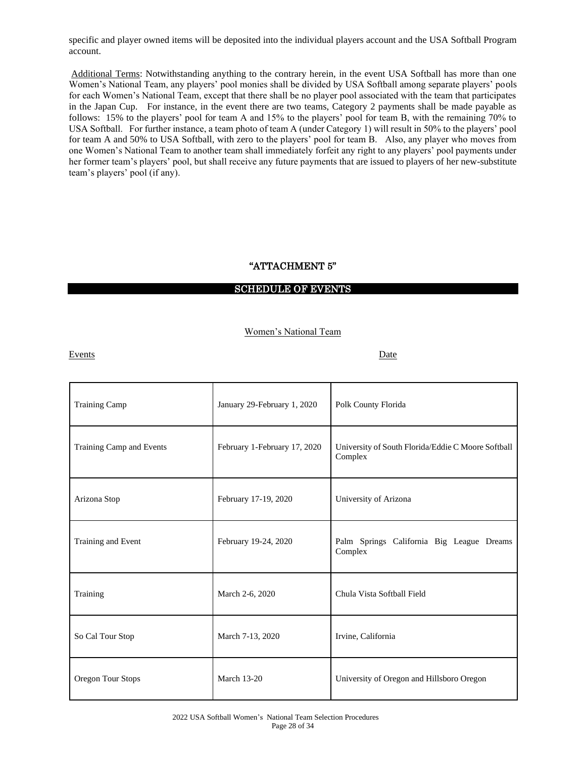specific and player owned items will be deposited into the individual players account and the USA Softball Program account.

Additional Terms: Notwithstanding anything to the contrary herein, in the event USA Softball has more than one Women's National Team, any players' pool monies shall be divided by USA Softball among separate players' pools for each Women's National Team, except that there shall be no player pool associated with the team that participates in the Japan Cup. For instance, in the event there are two teams, Category 2 payments shall be made payable as follows: 15% to the players' pool for team A and 15% to the players' pool for team B, with the remaining 70% to USA Softball. For further instance, a team photo of team A (under Category 1) will result in 50% to the players' pool for team A and 50% to USA Softball, with zero to the players' pool for team B. Also, any player who moves from one Women's National Team to another team shall immediately forfeit any right to any players' pool payments under her former team's players' pool, but shall receive any future payments that are issued to players of her new-substitute team's players' pool (if any).

#### "ATTACHMENT 5"

#### SCHEDULE OF EVENTS

#### Women's National Team

Events Date

| <b>Training Camp</b>     | January 29-February 1, 2020  | Polk County Florida                                           |  |
|--------------------------|------------------------------|---------------------------------------------------------------|--|
| Training Camp and Events | February 1-February 17, 2020 | University of South Florida/Eddie C Moore Softball<br>Complex |  |
| Arizona Stop             | February 17-19, 2020         | University of Arizona                                         |  |
| Training and Event       | February 19-24, 2020         | Palm Springs California Big League Dreams<br>Complex          |  |
| Training                 | March 2-6, 2020              | Chula Vista Softball Field                                    |  |
| So Cal Tour Stop         | March 7-13, 2020             | Irvine, California                                            |  |
| Oregon Tour Stops        | <b>March 13-20</b>           | University of Oregon and Hillsboro Oregon                     |  |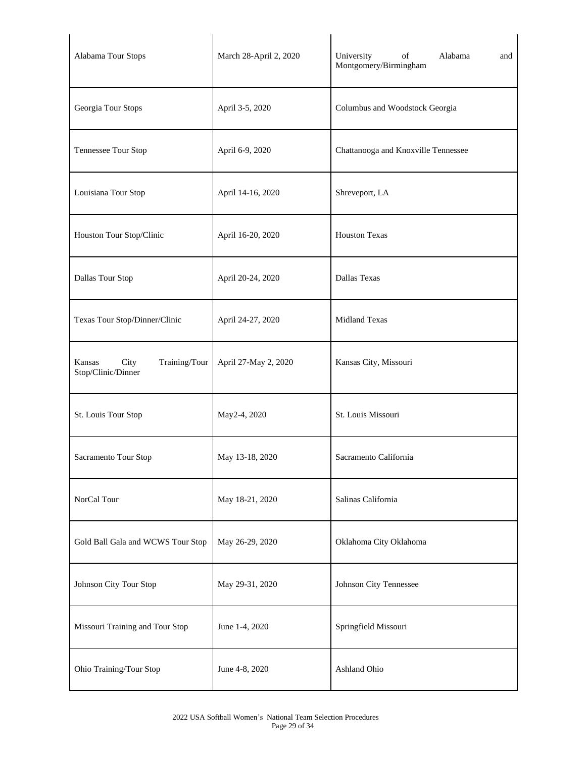| Alabama Tour Stops                                    | March 28-April 2, 2020 | University<br>$% \left( \left( \mathcal{A},\mathcal{A}\right) \right) =\left( \mathcal{A},\mathcal{A}\right)$ of<br>Alabama<br>and<br>Montgomery/Birmingham |  |
|-------------------------------------------------------|------------------------|-------------------------------------------------------------------------------------------------------------------------------------------------------------|--|
| Georgia Tour Stops                                    | April 3-5, 2020        | Columbus and Woodstock Georgia                                                                                                                              |  |
| Tennessee Tour Stop                                   | April 6-9, 2020        | Chattanooga and Knoxville Tennessee                                                                                                                         |  |
| Louisiana Tour Stop                                   | April 14-16, 2020      | Shreveport, LA                                                                                                                                              |  |
| Houston Tour Stop/Clinic                              | April 16-20, 2020      | <b>Houston Texas</b>                                                                                                                                        |  |
| Dallas Tour Stop                                      | April 20-24, 2020      | Dallas Texas                                                                                                                                                |  |
| Texas Tour Stop/Dinner/Clinic                         | April 24-27, 2020      | Midland Texas                                                                                                                                               |  |
| Kansas<br>City<br>Training/Tour<br>Stop/Clinic/Dinner | April 27-May 2, 2020   | Kansas City, Missouri                                                                                                                                       |  |
| St. Louis Tour Stop                                   | May2-4, 2020           | St. Louis Missouri                                                                                                                                          |  |
| Sacramento Tour Stop                                  | May 13-18, 2020        | Sacramento California                                                                                                                                       |  |
| NorCal Tour                                           | May 18-21, 2020        | Salinas California                                                                                                                                          |  |
| Gold Ball Gala and WCWS Tour Stop                     | May 26-29, 2020        | Oklahoma City Oklahoma                                                                                                                                      |  |
| Johnson City Tour Stop                                | May 29-31, 2020        | Johnson City Tennessee                                                                                                                                      |  |
| Missouri Training and Tour Stop                       | June 1-4, 2020         | Springfield Missouri                                                                                                                                        |  |
| Ohio Training/Tour Stop                               | June 4-8, 2020         | Ashland Ohio                                                                                                                                                |  |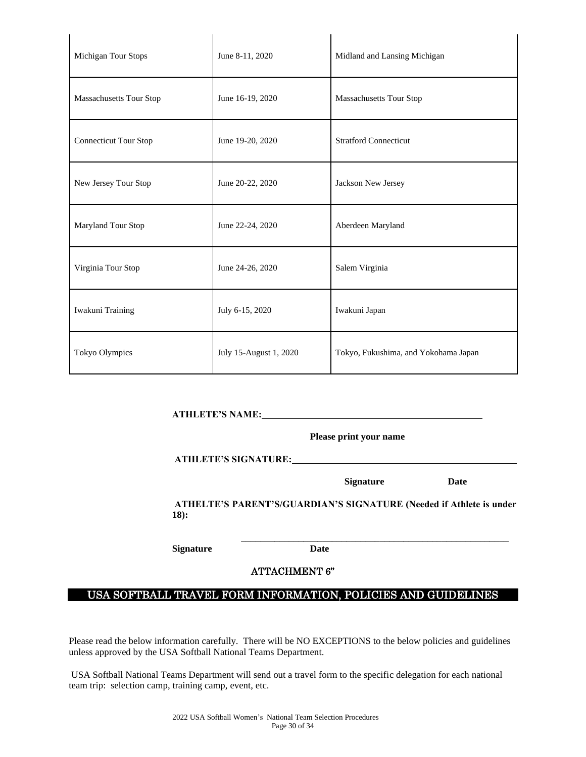| Michigan Tour Stops          | June 8-11, 2020        | Midland and Lansing Michigan         |  |
|------------------------------|------------------------|--------------------------------------|--|
| Massachusetts Tour Stop      | June 16-19, 2020       | Massachusetts Tour Stop              |  |
| <b>Connecticut Tour Stop</b> | June 19-20, 2020       | <b>Stratford Connecticut</b>         |  |
| New Jersey Tour Stop         | June 20-22, 2020       | Jackson New Jersey                   |  |
| Maryland Tour Stop           | June 22-24, 2020       | Aberdeen Maryland                    |  |
| Virginia Tour Stop           | June 24-26, 2020       | Salem Virginia                       |  |
| Iwakuni Training             | July 6-15, 2020        | Iwakuni Japan                        |  |
| Tokyo Olympics               | July 15-August 1, 2020 | Tokyo, Fukushima, and Yokohama Japan |  |

**ATHLETE'S NAME:**

**Please print your name**

**ATHLETE'S SIGNATURE:**

| <b>Signature</b> | Date |
|------------------|------|
|                  |      |

**ATHELTE'S PARENT'S/GUARDIAN'S SIGNATURE (Needed if Athlete is under 18):**

 \_\_\_\_\_\_\_\_\_\_\_\_\_\_\_\_\_\_\_\_\_\_\_\_\_\_\_\_\_\_\_\_\_\_\_\_\_\_\_\_\_\_\_\_\_\_\_\_\_\_\_\_\_\_\_\_ **Signature Date**

## ATTACHMENT 6"

## USA SOFTBALL TRAVEL FORM INFORMATION, POLICIES AND GUIDELINES

Please read the below information carefully. There will be NO EXCEPTIONS to the below policies and guidelines unless approved by the USA Softball National Teams Department.

USA Softball National Teams Department will send out a travel form to the specific delegation for each national team trip: selection camp, training camp, event, etc.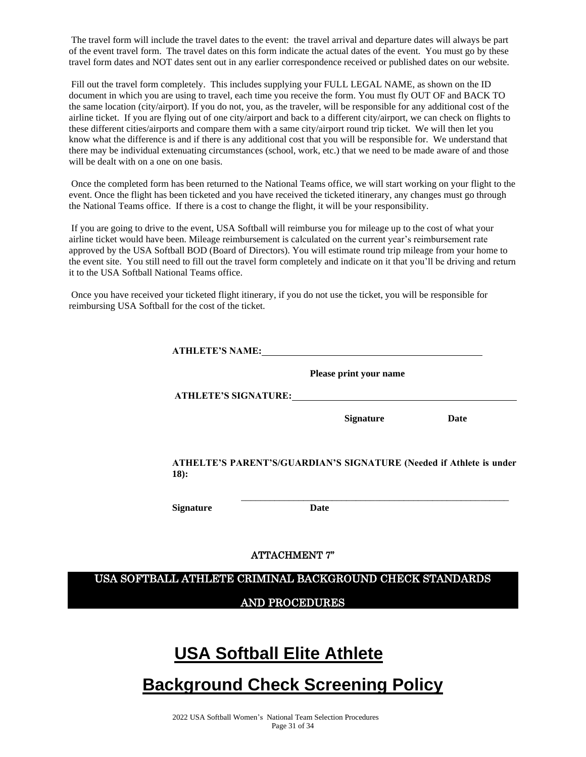The travel form will include the travel dates to the event: the travel arrival and departure dates will always be part of the event travel form. The travel dates on this form indicate the actual dates of the event. You must go by these travel form dates and NOT dates sent out in any earlier correspondence received or published dates on our website.

Fill out the travel form completely. This includes supplying your FULL LEGAL NAME, as shown on the ID document in which you are using to travel, each time you receive the form. You must fly OUT OF and BACK TO the same location (city/airport). If you do not, you, as the traveler, will be responsible for any additional cost of the airline ticket. If you are flying out of one city/airport and back to a different city/airport, we can check on flights to these different cities/airports and compare them with a same city/airport round trip ticket. We will then let you know what the difference is and if there is any additional cost that you will be responsible for. We understand that there may be individual extenuating circumstances (school, work, etc.) that we need to be made aware of and those will be dealt with on a one on one basis.

Once the completed form has been returned to the National Teams office, we will start working on your flight to the event. Once the flight has been ticketed and you have received the ticketed itinerary, any changes must go through the National Teams office. If there is a cost to change the flight, it will be your responsibility.

If you are going to drive to the event, USA Softball will reimburse you for mileage up to the cost of what your airline ticket would have been. Mileage reimbursement is calculated on the current year's reimbursement rate approved by the USA Softball BOD (Board of Directors). You will estimate round trip mileage from your home to the event site. You still need to fill out the travel form completely and indicate on it that you'll be driving and return it to the USA Softball National Teams office.

Once you have received your ticketed flight itinerary, if you do not use the ticket, you will be responsible for reimbursing USA Softball for the cost of the ticket.

| <b>ATHLETE'S NAME:</b>                                   |                                                                                                                                                                                                                               |      |
|----------------------------------------------------------|-------------------------------------------------------------------------------------------------------------------------------------------------------------------------------------------------------------------------------|------|
|                                                          | Please print your name                                                                                                                                                                                                        |      |
|                                                          | ATHLETE'S SIGNATURE: Management of the set of the set of the set of the set of the set of the set of the set of the set of the set of the set of the set of the set of the set of the set of the set of the set of the set of |      |
|                                                          | <b>Signature</b>                                                                                                                                                                                                              | Date |
| $18)$ :                                                  | ATHELTE'S PARENT'S/GUARDIAN'S SIGNATURE (Needed if Athlete is under                                                                                                                                                           |      |
| <b>Signature</b>                                         | Date                                                                                                                                                                                                                          |      |
|                                                          | <b>ATTACHMENT 7"</b>                                                                                                                                                                                                          |      |
| USA SOFTBALL ATHLETE CRIMINAL BACKGROUND CHECK STANDARDS |                                                                                                                                                                                                                               |      |
|                                                          | <b>AND PROCEDURES</b>                                                                                                                                                                                                         |      |

# **USA Softball Elite Athlete**

# **Background Check Screening Policy**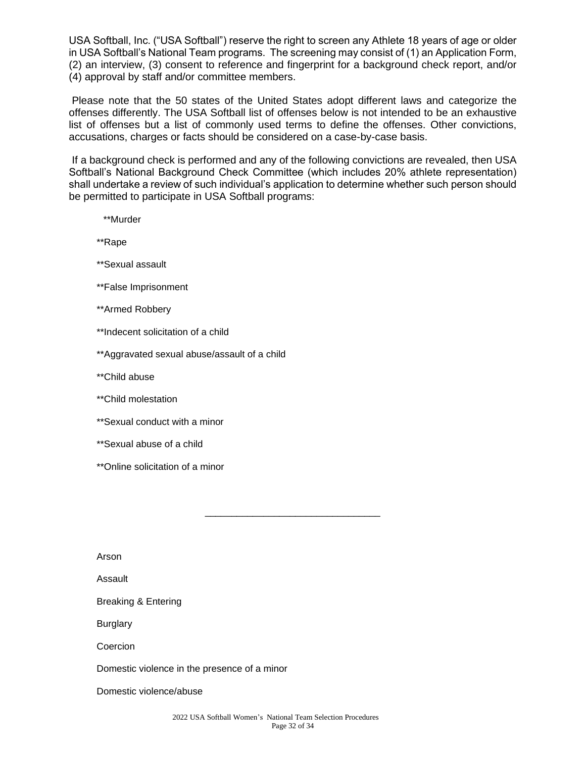USA Softball, Inc. ("USA Softball") reserve the right to screen any Athlete 18 years of age or older in USA Softball's National Team programs. The screening may consist of (1) an Application Form, (2) an interview, (3) consent to reference and fingerprint for a background check report, and/or (4) approval by staff and/or committee members.

Please note that the 50 states of the United States adopt different laws and categorize the offenses differently. The USA Softball list of offenses below is not intended to be an exhaustive list of offenses but a list of commonly used terms to define the offenses. Other convictions, accusations, charges or facts should be considered on a case-by-case basis.

If a background check is performed and any of the following convictions are revealed, then USA Softball's National Background Check Committee (which includes 20% athlete representation) shall undertake a review of such individual's application to determine whether such person should be permitted to participate in USA Softball programs:

\*\*Murder

\*\*Rape

\*\*Sexual assault

\*\*False Imprisonment

\*\*Armed Robbery

\*\*Indecent solicitation of a child

\*\*Aggravated sexual abuse/assault of a child

\*\*Child abuse

\*\*Child molestation

\*\*Sexual conduct with a minor

\*\*Sexual abuse of a child

\*\*Online solicitation of a minor

Arson

Assault

Breaking & Entering

**Burglary** 

Coercion

Domestic violence in the presence of a minor

Domestic violence/abuse

\_\_\_\_\_\_\_\_\_\_\_\_\_\_\_\_\_\_\_\_\_\_\_\_\_\_\_\_\_\_\_\_\_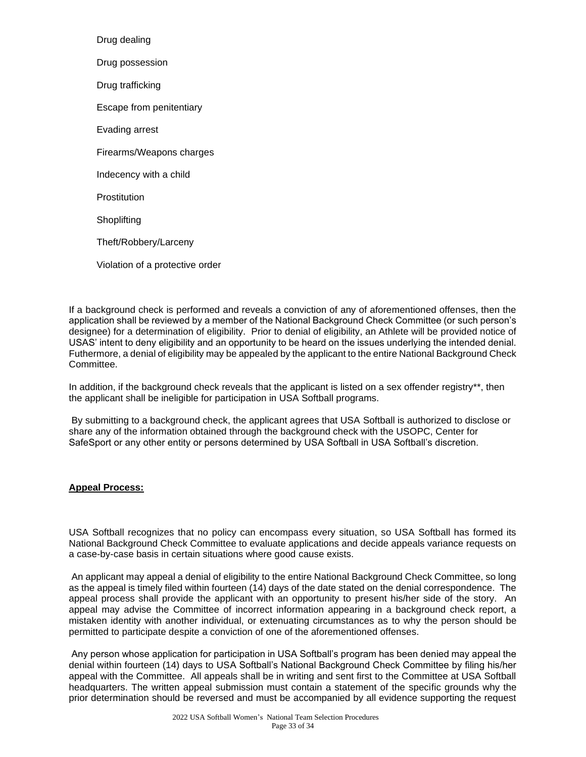Drug dealing Drug possession Drug trafficking Escape from penitentiary Evading arrest Firearms/Weapons charges Indecency with a child Prostitution **Shoplifting** Theft/Robbery/Larceny Violation of a protective order

If a background check is performed and reveals a conviction of any of aforementioned offenses, then the application shall be reviewed by a member of the National Background Check Committee (or such person's designee) for a determination of eligibility. Prior to denial of eligibility, an Athlete will be provided notice of USAS' intent to deny eligibility and an opportunity to be heard on the issues underlying the intended denial. Futhermore, a denial of eligibility may be appealed by the applicant to the entire National Background Check Committee.

In addition, if the background check reveals that the applicant is listed on a sex offender registry\*\*, then the applicant shall be ineligible for participation in USA Softball programs.

By submitting to a background check, the applicant agrees that USA Softball is authorized to disclose or share any of the information obtained through the background check with the USOPC, Center for SafeSport or any other entity or persons determined by USA Softball in USA Softball's discretion.

#### **Appeal Process:**

USA Softball recognizes that no policy can encompass every situation, so USA Softball has formed its National Background Check Committee to evaluate applications and decide appeals variance requests on a case-by-case basis in certain situations where good cause exists.

An applicant may appeal a denial of eligibility to the entire National Background Check Committee, so long as the appeal is timely filed within fourteen (14) days of the date stated on the denial correspondence. The appeal process shall provide the applicant with an opportunity to present his/her side of the story. An appeal may advise the Committee of incorrect information appearing in a background check report, a mistaken identity with another individual, or extenuating circumstances as to why the person should be permitted to participate despite a conviction of one of the aforementioned offenses.

Any person whose application for participation in USA Softball's program has been denied may appeal the denial within fourteen (14) days to USA Softball's National Background Check Committee by filing his/her appeal with the Committee. All appeals shall be in writing and sent first to the Committee at USA Softball headquarters. The written appeal submission must contain a statement of the specific grounds why the prior determination should be reversed and must be accompanied by all evidence supporting the request